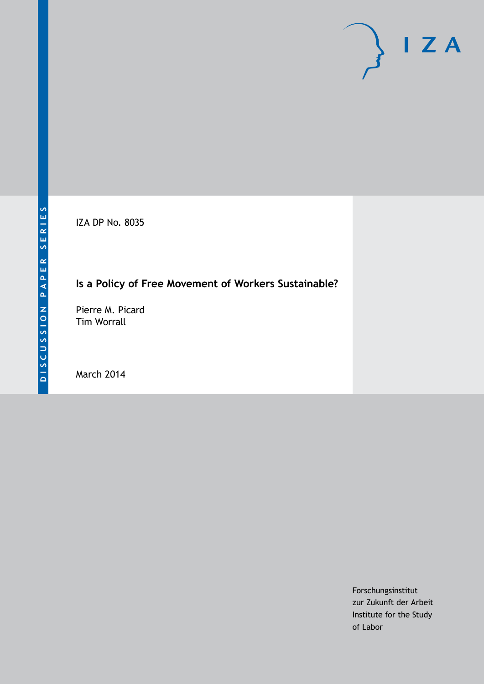IZA DP No. 8035

## **Is a Policy of Free Movement of Workers Sustainable?**

Pierre M. Picard Tim Worrall

March 2014

Forschungsinstitut zur Zukunft der Arbeit Institute for the Study of Labor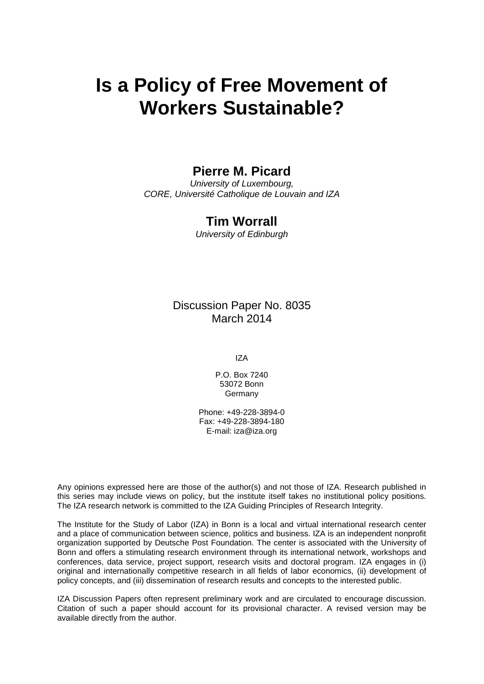# **Is a Policy of Free Movement of Workers Sustainable?**

## **Pierre M. Picard**

*University of Luxembourg, CORE, Université Catholique de Louvain and IZA*

## **Tim Worrall**

*University of Edinburgh*

Discussion Paper No. 8035 March 2014

IZA

P.O. Box 7240 53072 Bonn Germany

Phone: +49-228-3894-0 Fax: +49-228-3894-180 E-mail: [iza@iza.org](mailto:iza@iza.org)

Any opinions expressed here are those of the author(s) and not those of IZA. Research published in this series may include views on policy, but the institute itself takes no institutional policy positions. The IZA research network is committed to the IZA Guiding Principles of Research Integrity.

The Institute for the Study of Labor (IZA) in Bonn is a local and virtual international research center and a place of communication between science, politics and business. IZA is an independent nonprofit organization supported by Deutsche Post Foundation. The center is associated with the University of Bonn and offers a stimulating research environment through its international network, workshops and conferences, data service, project support, research visits and doctoral program. IZA engages in (i) original and internationally competitive research in all fields of labor economics, (ii) development of policy concepts, and (iii) dissemination of research results and concepts to the interested public.

<span id="page-1-0"></span>IZA Discussion Papers often represent preliminary work and are circulated to encourage discussion. Citation of such a paper should account for its provisional character. A revised version may be available directly from the author.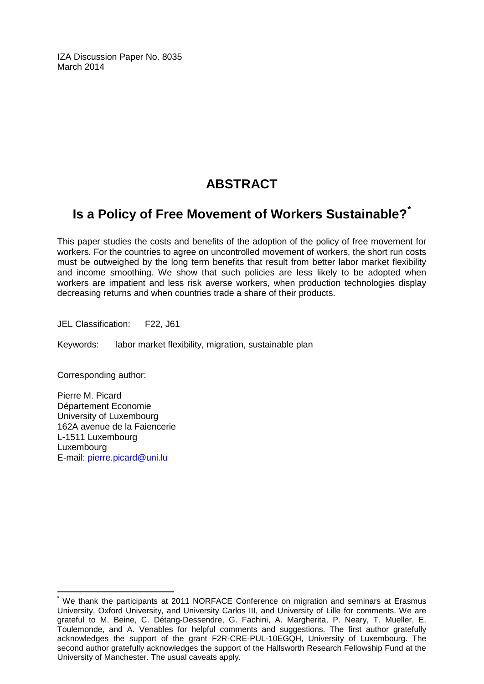IZA Discussion Paper No. 8035 March 2014

## **ABSTRACT**

## **Is a Policy of Free Movement of Workers Sustainable?[\\*](#page-1-0)**

This paper studies the costs and benefits of the adoption of the policy of free movement for workers. For the countries to agree on uncontrolled movement of workers, the short run costs must be outweighed by the long term benefits that result from better labor market flexibility and income smoothing. We show that such policies are less likely to be adopted when workers are impatient and less risk averse workers, when production technologies display decreasing returns and when countries trade a share of their products.

JEL Classification: F22, J61

Keywords: labor market flexibility, migration, sustainable plan

Corresponding author:

Pierre M. Picard Département Economie University of Luxembourg 162A avenue de la Faiencerie L-1511 Luxembourg Luxembourg E-mail: [pierre.picard@uni.lu](mailto:pierre.picard@uni.lu)

We thank the participants at 2011 NORFACE Conference on migration and seminars at Erasmus University, Oxford University, and University Carlos III, and University of Lille for comments. We are grateful to M. Beine, C. Détang-Dessendre, G. Fachini, A. Margherita, P. Neary, T. Mueller, E. Toulemonde, and A. Venables for helpful comments and suggestions. The first author gratefully acknowledges the support of the grant F2R-CRE-PUL-10EGQH, University of Luxembourg. The second author gratefully acknowledges the support of the Hallsworth Research Fellowship Fund at the University of Manchester. The usual caveats apply.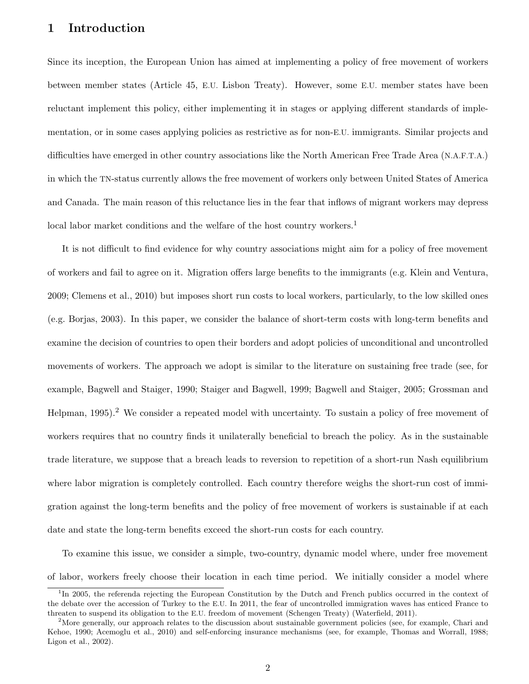## 1 Introduction

Since its inception, the European Union has aimed at implementing a policy of free movement of workers between member states (Article 45, E.U. Lisbon Treaty). However, some E.U. member states have been reluctant implement this policy, either implementing it in stages or applying different standards of implementation, or in some cases applying policies as restrictive as for non-E.U. immigrants. Similar projects and difficulties have emerged in other country associations like the North American Free Trade Area (N.A.F.T.A.) in which the TN-status currently allows the free movement of workers only between United States of America and Canada. The main reason of this reluctance lies in the fear that inflows of migrant workers may depress local labor market conditions and the welfare of the host country workers.<sup>1</sup>

It is not difficult to find evidence for why country associations might aim for a policy of free movement of workers and fail to agree on it. Migration offers large benefits to the immigrants (e.g. Klein and Ventura, 2009; Clemens et al., 2010) but imposes short run costs to local workers, particularly, to the low skilled ones (e.g. Borjas, 2003). In this paper, we consider the balance of short-term costs with long-term benefits and examine the decision of countries to open their borders and adopt policies of unconditional and uncontrolled movements of workers. The approach we adopt is similar to the literature on sustaining free trade (see, for example, Bagwell and Staiger, 1990; Staiger and Bagwell, 1999; Bagwell and Staiger, 2005; Grossman and Helpman, 1995).<sup>2</sup> We consider a repeated model with uncertainty. To sustain a policy of free movement of workers requires that no country finds it unilaterally beneficial to breach the policy. As in the sustainable trade literature, we suppose that a breach leads to reversion to repetition of a short-run Nash equilibrium where labor migration is completely controlled. Each country therefore weighs the short-run cost of immigration against the long-term benefits and the policy of free movement of workers is sustainable if at each date and state the long-term benefits exceed the short-run costs for each country.

To examine this issue, we consider a simple, two-country, dynamic model where, under free movement of labor, workers freely choose their location in each time period. We initially consider a model where

<sup>&</sup>lt;sup>1</sup>In 2005, the referenda rejecting the European Constitution by the Dutch and French publics occurred in the context of the debate over the accession of Turkey to the E.U. In 2011, the fear of uncontrolled immigration waves has enticed France to threaten to suspend its obligation to the E.U. freedom of movement (Schengen Treaty) (Waterfield, 2011).

<sup>&</sup>lt;sup>2</sup>More generally, our approach relates to the discussion about sustainable government policies (see, for example, Chari and Kehoe, 1990; Acemoglu et al., 2010) and self-enforcing insurance mechanisms (see, for example, Thomas and Worrall, 1988; Ligon et al., 2002).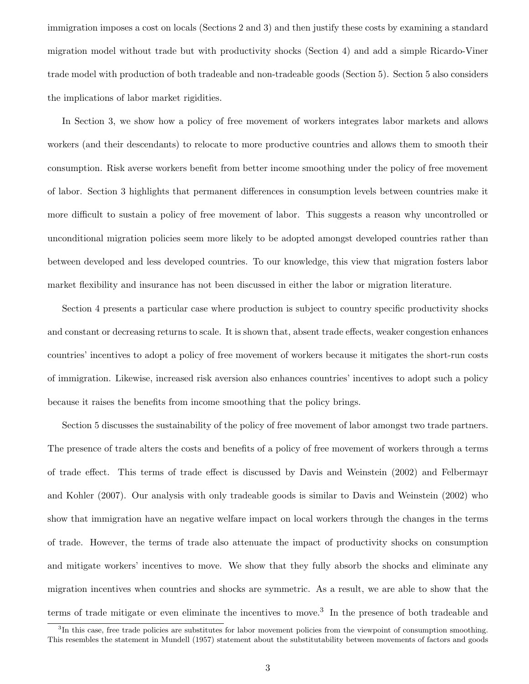immigration imposes a cost on locals (Sections 2 and 3) and then justify these costs by examining a standard migration model without trade but with productivity shocks (Section 4) and add a simple Ricardo-Viner trade model with production of both tradeable and non-tradeable goods (Section 5). Section 5 also considers the implications of labor market rigidities.

In Section 3, we show how a policy of free movement of workers integrates labor markets and allows workers (and their descendants) to relocate to more productive countries and allows them to smooth their consumption. Risk averse workers benefit from better income smoothing under the policy of free movement of labor. Section 3 highlights that permanent differences in consumption levels between countries make it more difficult to sustain a policy of free movement of labor. This suggests a reason why uncontrolled or unconditional migration policies seem more likely to be adopted amongst developed countries rather than between developed and less developed countries. To our knowledge, this view that migration fosters labor market flexibility and insurance has not been discussed in either the labor or migration literature.

Section 4 presents a particular case where production is subject to country specific productivity shocks and constant or decreasing returns to scale. It is shown that, absent trade effects, weaker congestion enhances countries' incentives to adopt a policy of free movement of workers because it mitigates the short-run costs of immigration. Likewise, increased risk aversion also enhances countries' incentives to adopt such a policy because it raises the benefits from income smoothing that the policy brings.

Section 5 discusses the sustainability of the policy of free movement of labor amongst two trade partners. The presence of trade alters the costs and benefits of a policy of free movement of workers through a terms of trade effect. This terms of trade effect is discussed by Davis and Weinstein (2002) and Felbermayr and Kohler (2007). Our analysis with only tradeable goods is similar to Davis and Weinstein (2002) who show that immigration have an negative welfare impact on local workers through the changes in the terms of trade. However, the terms of trade also attenuate the impact of productivity shocks on consumption and mitigate workers' incentives to move. We show that they fully absorb the shocks and eliminate any migration incentives when countries and shocks are symmetric. As a result, we are able to show that the terms of trade mitigate or even eliminate the incentives to move.<sup>3</sup> In the presence of both tradeable and

<sup>&</sup>lt;sup>3</sup>In this case, free trade policies are substitutes for labor movement policies from the viewpoint of consumption smoothing. This resembles the statement in Mundell (1957) statement about the substitutability between movements of factors and goods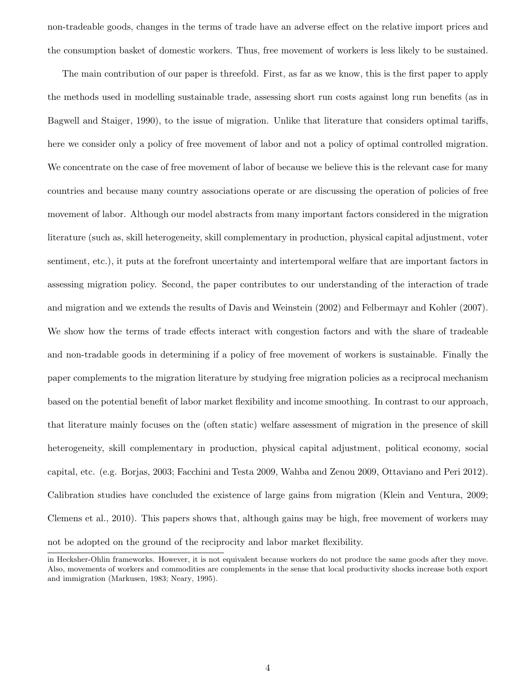non-tradeable goods, changes in the terms of trade have an adverse effect on the relative import prices and the consumption basket of domestic workers. Thus, free movement of workers is less likely to be sustained.

The main contribution of our paper is threefold. First, as far as we know, this is the first paper to apply the methods used in modelling sustainable trade, assessing short run costs against long run benefits (as in Bagwell and Staiger, 1990), to the issue of migration. Unlike that literature that considers optimal tariffs, here we consider only a policy of free movement of labor and not a policy of optimal controlled migration. We concentrate on the case of free movement of labor of because we believe this is the relevant case for many countries and because many country associations operate or are discussing the operation of policies of free movement of labor. Although our model abstracts from many important factors considered in the migration literature (such as, skill heterogeneity, skill complementary in production, physical capital adjustment, voter sentiment, etc.), it puts at the forefront uncertainty and intertemporal welfare that are important factors in assessing migration policy. Second, the paper contributes to our understanding of the interaction of trade and migration and we extends the results of Davis and Weinstein (2002) and Felbermayr and Kohler (2007). We show how the terms of trade effects interact with congestion factors and with the share of tradeable and non-tradable goods in determining if a policy of free movement of workers is sustainable. Finally the paper complements to the migration literature by studying free migration policies as a reciprocal mechanism based on the potential benefit of labor market flexibility and income smoothing. In contrast to our approach, that literature mainly focuses on the (often static) welfare assessment of migration in the presence of skill heterogeneity, skill complementary in production, physical capital adjustment, political economy, social capital, etc. (e.g. Borjas, 2003; Facchini and Testa 2009, Wahba and Zenou 2009, Ottaviano and Peri 2012). Calibration studies have concluded the existence of large gains from migration (Klein and Ventura, 2009; Clemens et al., 2010). This papers shows that, although gains may be high, free movement of workers may not be adopted on the ground of the reciprocity and labor market flexibility.

in Hecksher-Ohlin frameworks. However, it is not equivalent because workers do not produce the same goods after they move. Also, movements of workers and commodities are complements in the sense that local productivity shocks increase both export and immigration (Markusen, 1983; Neary, 1995).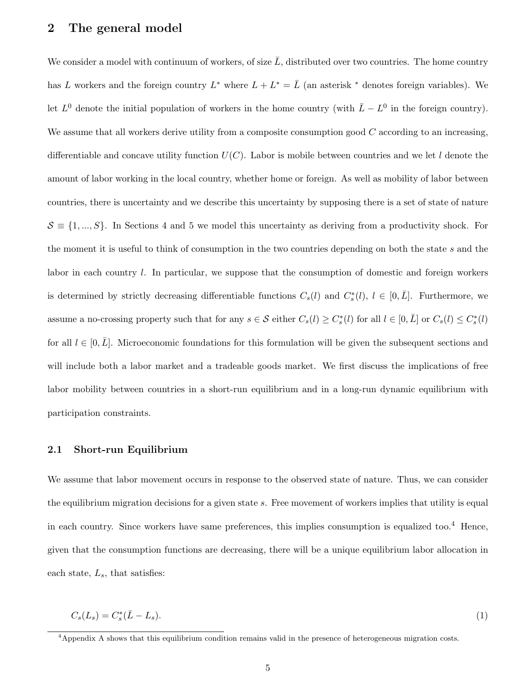## 2 The general model

We consider a model with continuum of workers, of size  $\bar{L}$ , distributed over two countries. The home country has L workers and the foreign country  $L^*$  where  $L + L^* = \overline{L}$  (an asterisk <sup>\*</sup> denotes foreign variables). We let  $L^0$  denote the initial population of workers in the home country (with  $\bar{L} - L^0$  in the foreign country). We assume that all workers derive utility from a composite consumption good  $C$  according to an increasing, differentiable and concave utility function  $U(C)$ . Labor is mobile between countries and we let l denote the amount of labor working in the local country, whether home or foreign. As well as mobility of labor between countries, there is uncertainty and we describe this uncertainty by supposing there is a set of state of nature  $S \equiv \{1, ..., S\}$ . In Sections 4 and 5 we model this uncertainty as deriving from a productivity shock. For the moment it is useful to think of consumption in the two countries depending on both the state s and the labor in each country  $l$ . In particular, we suppose that the consumption of domestic and foreign workers is determined by strictly decreasing differentiable functions  $C_s(l)$  and  $C_s^*(l)$ ,  $l \in [0, \bar{L}]$ . Furthermore, we assume a no-crossing property such that for any  $s \in S$  either  $C_s(l) \geq C_s^*(l)$  for all  $l \in [0, \bar{L}]$  or  $C_s(l) \leq C_s^*(l)$ for all  $l \in [0, \bar{L}]$ . Microeconomic foundations for this formulation will be given the subsequent sections and will include both a labor market and a tradeable goods market. We first discuss the implications of free labor mobility between countries in a short-run equilibrium and in a long-run dynamic equilibrium with participation constraints.

#### 2.1 Short-run Equilibrium

We assume that labor movement occurs in response to the observed state of nature. Thus, we can consider the equilibrium migration decisions for a given state s. Free movement of workers implies that utility is equal in each country. Since workers have same preferences, this implies consumption is equalized too.<sup>4</sup> Hence, given that the consumption functions are decreasing, there will be a unique equilibrium labor allocation in each state,  $L_s$ , that satisfies:

$$
C_s(L_s) = C_s^*(\bar{L} - L_s). \tag{1}
$$

<sup>&</sup>lt;sup>4</sup>Appendix A shows that this equilibrium condition remains valid in the presence of heterogeneous migration costs.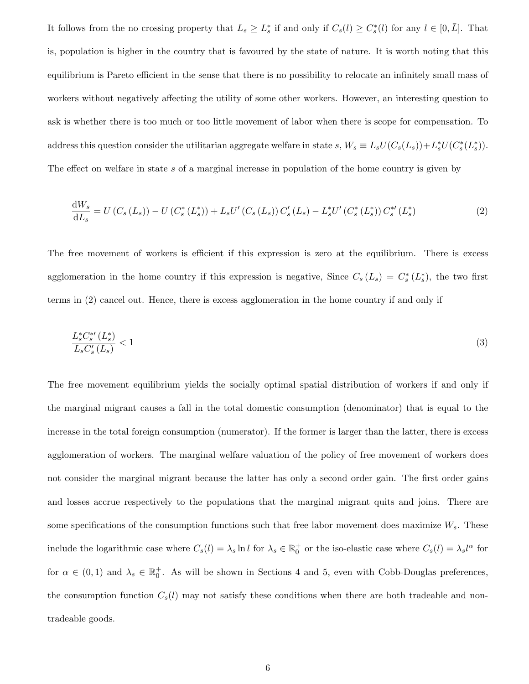It follows from the no crossing property that  $L_s \geq L_s^*$  if and only if  $C_s(l) \geq C_s^*(l)$  for any  $l \in [0, \bar{L}]$ . That is, population is higher in the country that is favoured by the state of nature. It is worth noting that this equilibrium is Pareto efficient in the sense that there is no possibility to relocate an infinitely small mass of workers without negatively affecting the utility of some other workers. However, an interesting question to ask is whether there is too much or too little movement of labor when there is scope for compensation. To address this question consider the utilitarian aggregate welfare in state s,  $W_s \equiv L_s U(C_s(L_s)) + L_s^* U(C_s^*(L_s^*))$ . The effect on welfare in state s of a marginal increase in population of the home country is given by

$$
\frac{dW_s}{dL_s} = U(C_s(L_s)) - U(C_s^*(L_s^*)) + L_sU'(C_s(L_s))C_s'(L_s) - L_s^*U'(C_s^*(L_s^*))C_s^{*'}(L_s^*)
$$
\n(2)

The free movement of workers is efficient if this expression is zero at the equilibrium. There is excess agglomeration in the home country if this expression is negative, Since  $C_s(L_s) = C_s^*(L_s^*)$ , the two first terms in (2) cancel out. Hence, there is excess agglomeration in the home country if and only if

$$
\frac{L_s^* C_s^{*\prime} \left(L_s^*\right)}{L_s C_s^{\prime} \left(L_s\right)} < 1\tag{3}
$$

The free movement equilibrium yields the socially optimal spatial distribution of workers if and only if the marginal migrant causes a fall in the total domestic consumption (denominator) that is equal to the increase in the total foreign consumption (numerator). If the former is larger than the latter, there is excess agglomeration of workers. The marginal welfare valuation of the policy of free movement of workers does not consider the marginal migrant because the latter has only a second order gain. The first order gains and losses accrue respectively to the populations that the marginal migrant quits and joins. There are some specifications of the consumption functions such that free labor movement does maximize  $W_s$ . These include the logarithmic case where  $C_s(l) = \lambda_s \ln l$  for  $\lambda_s \in \mathbb{R}_0^+$  or the iso-elastic case where  $C_s(l) = \lambda_s l^{\alpha}$  for for  $\alpha \in (0,1)$  and  $\lambda_s \in \mathbb{R}_0^+$ . As will be shown in Sections 4 and 5, even with Cobb-Douglas preferences, the consumption function  $C_s(l)$  may not satisfy these conditions when there are both tradeable and nontradeable goods.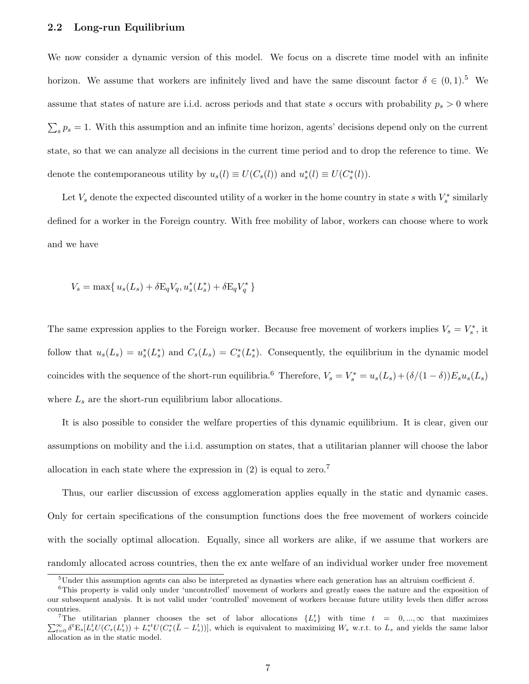#### 2.2 Long-run Equilibrium

We now consider a dynamic version of this model. We focus on a discrete time model with an infinite horizon. We assume that workers are infinitely lived and have the same discount factor  $\delta \in (0,1)$ .<sup>5</sup> We assume that states of nature are i.i.d. across periods and that state s occurs with probability  $p_s > 0$  where  $\sum_{s} p_s = 1$ . With this assumption and an infinite time horizon, agents' decisions depend only on the current state, so that we can analyze all decisions in the current time period and to drop the reference to time. We denote the contemporaneous utility by  $u_s(l) \equiv U(C_s(l))$  and  $u_s^*(l) \equiv U(C_s^*(l))$ .

Let  $V_s$  denote the expected discounted utility of a worker in the home country in state s with  $V_s^*$  similarly defined for a worker in the Foreign country. With free mobility of labor, workers can choose where to work and we have

$$
V_s = \max\{u_s(L_s) + \delta E_q V_q, u_s^*(L_s^*) + \delta E_q V_q^*\}
$$

The same expression applies to the Foreign worker. Because free movement of workers implies  $V_s = V_s^*$ , it follow that  $u_s(L_s) = u_s^*(L_s^*)$  and  $C_s(L_s) = C_s^*(L_s^*)$ . Consequently, the equilibrium in the dynamic model coincides with the sequence of the short-run equilibria.<sup>6</sup> Therefore,  $V_s = V_s^* = u_s(L_s) + (\delta/(1-\delta))E_s u_s(L_s)$ where  $L_s$  are the short-run equilibrium labor allocations.

It is also possible to consider the welfare properties of this dynamic equilibrium. It is clear, given our assumptions on mobility and the i.i.d. assumption on states, that a utilitarian planner will choose the labor allocation in each state where the expression in  $(2)$  is equal to zero.<sup>7</sup>

Thus, our earlier discussion of excess agglomeration applies equally in the static and dynamic cases. Only for certain specifications of the consumption functions does the free movement of workers coincide with the socially optimal allocation. Equally, since all workers are alike, if we assume that workers are randomly allocated across countries, then the ex ante welfare of an individual worker under free movement

<sup>&</sup>lt;sup>5</sup>Under this assumption agents can also be interpreted as dynasties where each generation has an altruism coefficient  $\delta$ .

<sup>&</sup>lt;sup>6</sup>This property is valid only under 'uncontrolled' movement of workers and greatly eases the nature and the exposition of our subsequent analysis. It is not valid under 'controlled' movement of workers because future utility levels then differ across countries.

<sup>&</sup>lt;sup>7</sup>The utilitarian planner chooses the set of labor allocations  ${L_s^t}$ The utilitarian planner chooses the set of labor allocations  $\{L_s^t\}$  with time  $t = 0, ..., \infty$  that maximizes  $\sum_{t=0}^{\infty} \delta^t E_s [L_s^t U(C_s(L_s^t)) + L_s^{*t} U(C_s^*(\bar{L} - L_s^t))]$ , which is equivalent to maximizing  $W_s$  w.r.t. to  $L_s$  allocation as in the static model.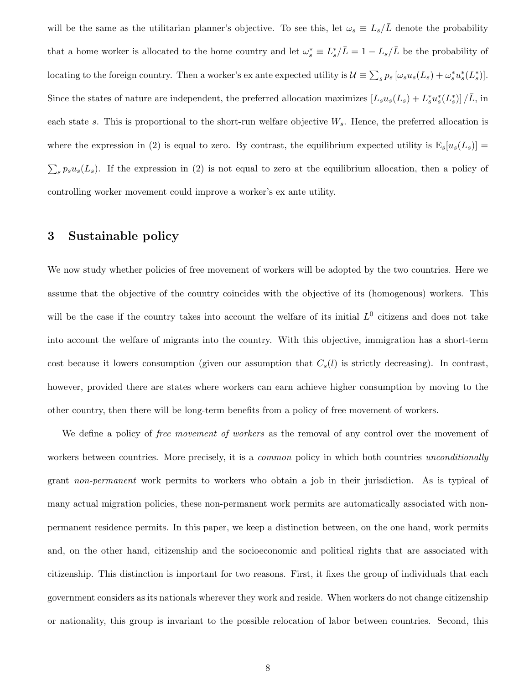will be the same as the utilitarian planner's objective. To see this, let  $\omega_s \equiv L_s/L$  denote the probability that a home worker is allocated to the home country and let  $\omega_s^* \equiv L_s^*/\bar{L} = 1 - L_s/\bar{L}$  be the probability of locating to the foreign country. Then a worker's ex ante expected utility is  $\mathcal{U} \equiv \sum_s p_s [\omega_s u_s(L_s) + \omega_s^* u_s^*(L_s^*)]$ . Since the states of nature are independent, the preferred allocation maximizes  $[L_s u_s(L_s) + L_s^* u_s^*(L_s^*)]/\bar{L}$ , in each state s. This is proportional to the short-run welfare objective  $W_s$ . Hence, the preferred allocation is where the expression in (2) is equal to zero. By contrast, the equilibrium expected utility is  $E_s[u_s(L_s)] =$  $\sum_{s} p_s u_s(L_s)$ . If the expression in (2) is not equal to zero at the equilibrium allocation, then a policy of controlling worker movement could improve a worker's ex ante utility.

### 3 Sustainable policy

We now study whether policies of free movement of workers will be adopted by the two countries. Here we assume that the objective of the country coincides with the objective of its (homogenous) workers. This will be the case if the country takes into account the welfare of its initial  $L^0$  citizens and does not take into account the welfare of migrants into the country. With this objective, immigration has a short-term cost because it lowers consumption (given our assumption that  $C_s(l)$  is strictly decreasing). In contrast, however, provided there are states where workers can earn achieve higher consumption by moving to the other country, then there will be long-term benefits from a policy of free movement of workers.

We define a policy of *free movement of workers* as the removal of any control over the movement of workers between countries. More precisely, it is a *common* policy in which both countries *unconditionally* grant non-permanent work permits to workers who obtain a job in their jurisdiction. As is typical of many actual migration policies, these non-permanent work permits are automatically associated with nonpermanent residence permits. In this paper, we keep a distinction between, on the one hand, work permits and, on the other hand, citizenship and the socioeconomic and political rights that are associated with citizenship. This distinction is important for two reasons. First, it fixes the group of individuals that each government considers as its nationals wherever they work and reside. When workers do not change citizenship or nationality, this group is invariant to the possible relocation of labor between countries. Second, this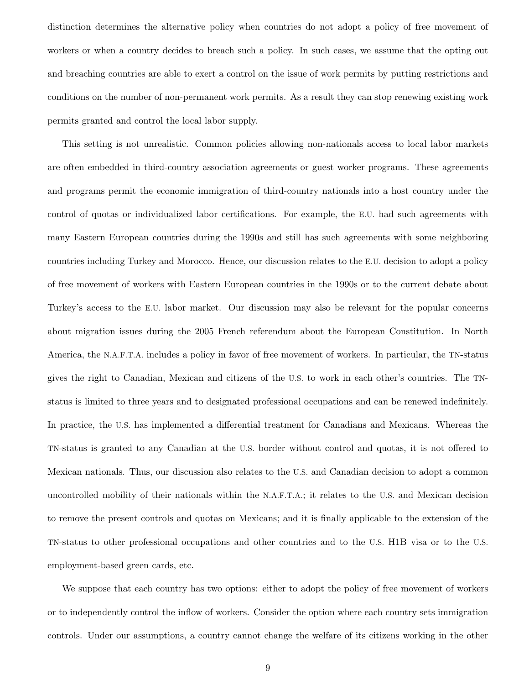distinction determines the alternative policy when countries do not adopt a policy of free movement of workers or when a country decides to breach such a policy. In such cases, we assume that the opting out and breaching countries are able to exert a control on the issue of work permits by putting restrictions and conditions on the number of non-permanent work permits. As a result they can stop renewing existing work permits granted and control the local labor supply.

This setting is not unrealistic. Common policies allowing non-nationals access to local labor markets are often embedded in third-country association agreements or guest worker programs. These agreements and programs permit the economic immigration of third-country nationals into a host country under the control of quotas or individualized labor certifications. For example, the E.U. had such agreements with many Eastern European countries during the 1990s and still has such agreements with some neighboring countries including Turkey and Morocco. Hence, our discussion relates to the E.U. decision to adopt a policy of free movement of workers with Eastern European countries in the 1990s or to the current debate about Turkey's access to the E.U. labor market. Our discussion may also be relevant for the popular concerns about migration issues during the 2005 French referendum about the European Constitution. In North America, the N.A.F.T.A. includes a policy in favor of free movement of workers. In particular, the TN-status gives the right to Canadian, Mexican and citizens of the U.S. to work in each other's countries. The TNstatus is limited to three years and to designated professional occupations and can be renewed indefinitely. In practice, the U.S. has implemented a differential treatment for Canadians and Mexicans. Whereas the TN-status is granted to any Canadian at the U.S. border without control and quotas, it is not offered to Mexican nationals. Thus, our discussion also relates to the U.S. and Canadian decision to adopt a common uncontrolled mobility of their nationals within the N.A.F.T.A.; it relates to the U.S. and Mexican decision to remove the present controls and quotas on Mexicans; and it is finally applicable to the extension of the TN-status to other professional occupations and other countries and to the U.S. H1B visa or to the U.S. employment-based green cards, etc.

We suppose that each country has two options: either to adopt the policy of free movement of workers or to independently control the inflow of workers. Consider the option where each country sets immigration controls. Under our assumptions, a country cannot change the welfare of its citizens working in the other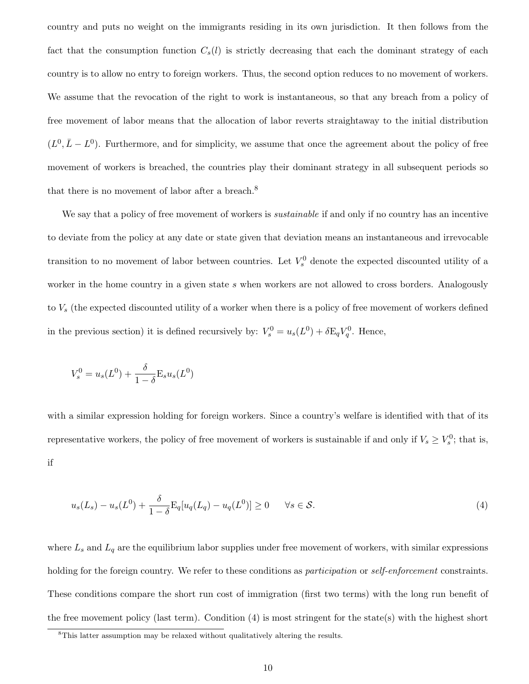country and puts no weight on the immigrants residing in its own jurisdiction. It then follows from the fact that the consumption function  $C_s(l)$  is strictly decreasing that each the dominant strategy of each country is to allow no entry to foreign workers. Thus, the second option reduces to no movement of workers. We assume that the revocation of the right to work is instantaneous, so that any breach from a policy of free movement of labor means that the allocation of labor reverts straightaway to the initial distribution  $(L^0, \bar{L} - L^0)$ . Furthermore, and for simplicity, we assume that once the agreement about the policy of free movement of workers is breached, the countries play their dominant strategy in all subsequent periods so that there is no movement of labor after a breach.<sup>8</sup>

We say that a policy of free movement of workers is *sustainable* if and only if no country has an incentive to deviate from the policy at any date or state given that deviation means an instantaneous and irrevocable transition to no movement of labor between countries. Let  $V_s^0$  denote the expected discounted utility of a worker in the home country in a given state s when workers are not allowed to cross borders. Analogously to  $V_s$  (the expected discounted utility of a worker when there is a policy of free movement of workers defined in the previous section) it is defined recursively by:  $V_s^0 = u_s(L^0) + \delta E_q V_q^0$ . Hence,

$$
V_s^0 = u_s(L^0) + \frac{\delta}{1 - \delta} \mathcal{E}_s u_s(L^0)
$$

with a similar expression holding for foreign workers. Since a country's welfare is identified with that of its representative workers, the policy of free movement of workers is sustainable if and only if  $V_s \geq V_s^0$ ; that is, if

$$
u_s(L_s) - u_s(L^0) + \frac{\delta}{1 - \delta} \mathcal{E}_q[u_q(L_q) - u_q(L^0)] \ge 0 \quad \forall s \in \mathcal{S}.
$$
 (4)

where  $L_s$  and  $L_q$  are the equilibrium labor supplies under free movement of workers, with similar expressions holding for the foreign country. We refer to these conditions as participation or self-enforcement constraints. These conditions compare the short run cost of immigration (first two terms) with the long run benefit of the free movement policy (last term). Condition (4) is most stringent for the state(s) with the highest short

<sup>&</sup>lt;sup>8</sup>This latter assumption may be relaxed without qualitatively altering the results.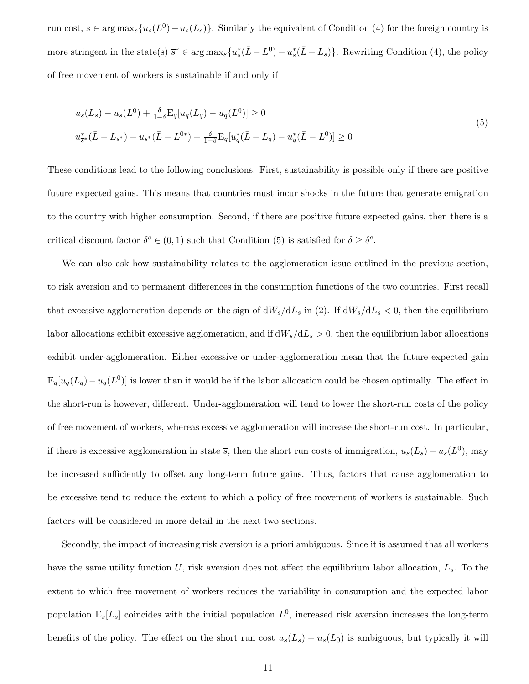run cost,  $\overline{s} \in \arg \max_s \{u_s(L^0) - u_s(L_s)\}\$ . Similarly the equivalent of Condition (4) for the foreign country is more stringent in the state(s)  $\bar{s}^* \in \arg \max_s \{u_s^*(\bar{L} - L^0) - u_s^*(\bar{L} - L_s)\}\.$  Rewriting Condition (4), the policy of free movement of workers is sustainable if and only if

$$
u_{\overline{s}}(L_{\overline{s}}) - u_{\overline{s}}(L^0) + \frac{\delta}{1-\delta} \mathcal{E}_q[u_q(L_q) - u_q(L^0)] \ge 0
$$
  

$$
u_{\overline{s}}^*(\overline{L} - L_{\overline{s}}^*) - u_{\overline{s}}^*(\overline{L} - L^{0*}) + \frac{\delta}{1-\delta} \mathcal{E}_q[u_q^*(\overline{L} - L_q) - u_q^*(\overline{L} - L^0)] \ge 0
$$
\n
$$
(5)
$$

These conditions lead to the following conclusions. First, sustainability is possible only if there are positive future expected gains. This means that countries must incur shocks in the future that generate emigration to the country with higher consumption. Second, if there are positive future expected gains, then there is a critical discount factor  $\delta^c \in (0,1)$  such that Condition (5) is satisfied for  $\delta \geq \delta^c$ .

We can also ask how sustainability relates to the agglomeration issue outlined in the previous section, to risk aversion and to permanent differences in the consumption functions of the two countries. First recall that excessive agglomeration depends on the sign of  $\frac{dW_s}{dL_s}$  in (2). If  $\frac{dW_s}{dL_s}$  < 0, then the equilibrium labor allocations exhibit excessive agglomeration, and if  $dW_s/dL_s > 0$ , then the equilibrium labor allocations exhibit under-agglomeration. Either excessive or under-agglomeration mean that the future expected gain  $E_q[u_q(L_q) - u_q(L^0)]$  is lower than it would be if the labor allocation could be chosen optimally. The effect in the short-run is however, different. Under-agglomeration will tend to lower the short-run costs of the policy of free movement of workers, whereas excessive agglomeration will increase the short-run cost. In particular, if there is excessive agglomeration in state  $\bar{s}$ , then the short run costs of immigration,  $u_{\bar{s}}(L_{\bar{s}}) - u_{\bar{s}}(L^0)$ , may be increased sufficiently to offset any long-term future gains. Thus, factors that cause agglomeration to be excessive tend to reduce the extent to which a policy of free movement of workers is sustainable. Such factors will be considered in more detail in the next two sections.

Secondly, the impact of increasing risk aversion is a priori ambiguous. Since it is assumed that all workers have the same utility function  $U$ , risk aversion does not affect the equilibrium labor allocation,  $L_s$ . To the extent to which free movement of workers reduces the variability in consumption and the expected labor population  $E_s[L_s]$  coincides with the initial population  $L^0$ , increased risk aversion increases the long-term benefits of the policy. The effect on the short run cost  $u_s(L_s) - u_s(L_0)$  is ambiguous, but typically it will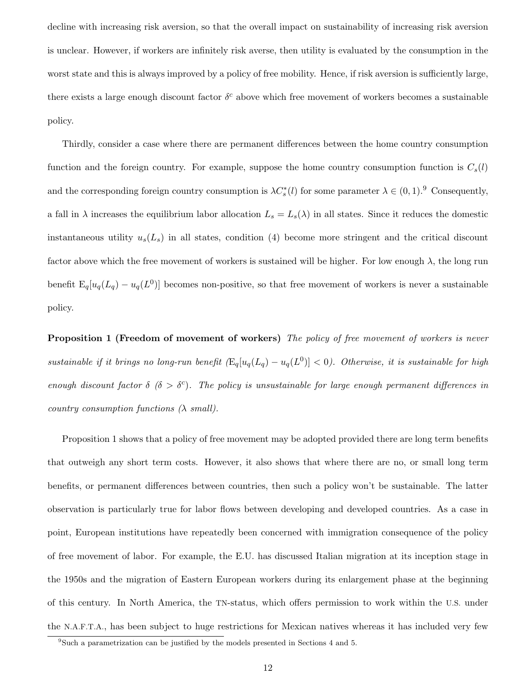decline with increasing risk aversion, so that the overall impact on sustainability of increasing risk aversion is unclear. However, if workers are infinitely risk averse, then utility is evaluated by the consumption in the worst state and this is always improved by a policy of free mobility. Hence, if risk aversion is sufficiently large, there exists a large enough discount factor  $\delta^c$  above which free movement of workers becomes a sustainable policy.

Thirdly, consider a case where there are permanent differences between the home country consumption function and the foreign country. For example, suppose the home country consumption function is  $C_s(l)$ and the corresponding foreign country consumption is  $\lambda C_s^*(l)$  for some parameter  $\lambda \in (0,1)$ .<sup>9</sup> Consequently, a fall in  $\lambda$  increases the equilibrium labor allocation  $L_s = L_s(\lambda)$  in all states. Since it reduces the domestic instantaneous utility  $u_s(L_s)$  in all states, condition (4) become more stringent and the critical discount factor above which the free movement of workers is sustained will be higher. For low enough  $\lambda$ , the long run benefit  $E_q[u_q(L_q) - u_q(L^0)]$  becomes non-positive, so that free movement of workers is never a sustainable policy.

**Proposition 1 (Freedom of movement of workers)** The policy of free movement of workers is never sustainable if it brings no long-run benefit  $(E_q[u_q(L_q) - u_q(L^0)] < 0$ ). Otherwise, it is sustainable for high enough discount factor  $\delta$  ( $\delta > \delta^c$ ). The policy is unsustainable for large enough permanent differences in country consumption functions  $(\lambda \text{ small}).$ 

Proposition 1 shows that a policy of free movement may be adopted provided there are long term benefits that outweigh any short term costs. However, it also shows that where there are no, or small long term benefits, or permanent differences between countries, then such a policy won't be sustainable. The latter observation is particularly true for labor flows between developing and developed countries. As a case in point, European institutions have repeatedly been concerned with immigration consequence of the policy of free movement of labor. For example, the E.U. has discussed Italian migration at its inception stage in the 1950s and the migration of Eastern European workers during its enlargement phase at the beginning of this century. In North America, the TN-status, which offers permission to work within the U.S. under the N.A.F.T.A., has been subject to huge restrictions for Mexican natives whereas it has included very few

<sup>9</sup>Such a parametrization can be justified by the models presented in Sections 4 and 5.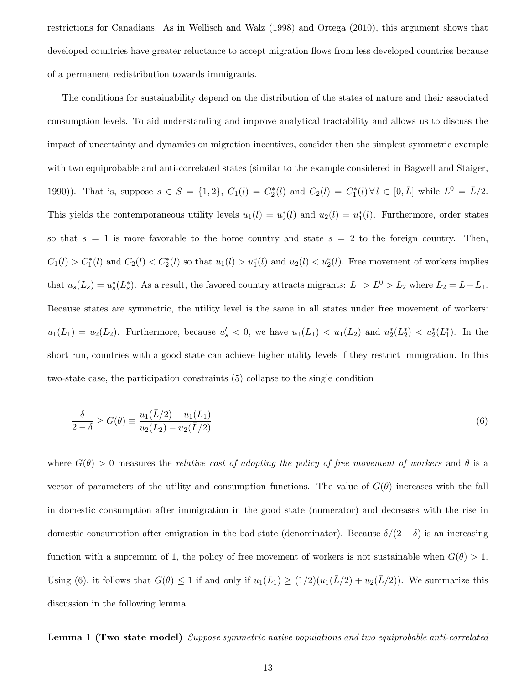restrictions for Canadians. As in Wellisch and Walz (1998) and Ortega (2010), this argument shows that developed countries have greater reluctance to accept migration flows from less developed countries because of a permanent redistribution towards immigrants.

The conditions for sustainability depend on the distribution of the states of nature and their associated consumption levels. To aid understanding and improve analytical tractability and allows us to discuss the impact of uncertainty and dynamics on migration incentives, consider then the simplest symmetric example with two equiprobable and anti-correlated states (similar to the example considered in Bagwell and Staiger, 1990)). That is, suppose  $s \in S = \{1, 2\}$ ,  $C_1(l) = C_2^*(l)$  and  $C_2(l) = C_1^*(l) \forall l \in [0, \bar{L}]$  while  $L^0 = \bar{L}/2$ . This yields the contemporaneous utility levels  $u_1(l) = u_2^*(l)$  and  $u_2(l) = u_1^*(l)$ . Furthermore, order states so that  $s = 1$  is more favorable to the home country and state  $s = 2$  to the foreign country. Then,  $C_1(l) > C_1^*(l)$  and  $C_2(l) < C_2^*(l)$  so that  $u_1(l) > u_1^*(l)$  and  $u_2(l) < u_2^*(l)$ . Free movement of workers implies that  $u_s(L_s) = u_s^*(L_s^*)$ . As a result, the favored country attracts migrants:  $L_1 > L^0 > L_2$  where  $L_2 = \bar{L} - L_1$ . Because states are symmetric, the utility level is the same in all states under free movement of workers:  $u_1(L_1) = u_2(L_2)$ . Furthermore, because  $u'_s < 0$ , we have  $u_1(L_1) < u_1(L_2)$  and  $u_2^*(L_2^*) < u_2^*(L_1^*)$ . In the short run, countries with a good state can achieve higher utility levels if they restrict immigration. In this two-state case, the participation constraints (5) collapse to the single condition

$$
\frac{\delta}{2-\delta} \ge G(\theta) \equiv \frac{u_1(\bar{L}/2) - u_1(L_1)}{u_2(L_2) - u_2(\bar{L}/2)}\tag{6}
$$

where  $G(\theta) > 0$  measures the relative cost of adopting the policy of free movement of workers and  $\theta$  is a vector of parameters of the utility and consumption functions. The value of  $G(\theta)$  increases with the fall in domestic consumption after immigration in the good state (numerator) and decreases with the rise in domestic consumption after emigration in the bad state (denominator). Because  $\delta/(2-\delta)$  is an increasing function with a supremum of 1, the policy of free movement of workers is not sustainable when  $G(\theta) > 1$ . Using (6), it follows that  $G(\theta) \leq 1$  if and only if  $u_1(L_1) \geq (1/2)(u_1(\bar{L}/2) + u_2(\bar{L}/2))$ . We summarize this discussion in the following lemma.

Lemma 1 (Two state model) Suppose symmetric native populations and two equiprobable anti-correlated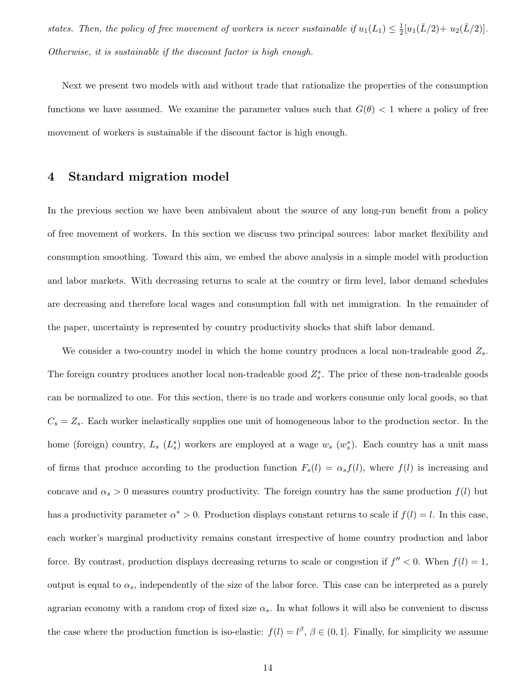states. Then, the policy of free movement of workers is never sustainable if  $u_1(L_1) \leq \frac{1}{2}$  $\frac{1}{2}[u_1(\bar{L}/2)+u_2(\bar{L}/2)].$ Otherwise, it is sustainable if the discount factor is high enough.

Next we present two models with and without trade that rationalize the properties of the consumption functions we have assumed. We examine the parameter values such that  $G(\theta) < 1$  where a policy of free movement of workers is sustainable if the discount factor is high enough.

### 4 Standard migration model

In the previous section we have been ambivalent about the source of any long-run benefit from a policy of free movement of workers. In this section we discuss two principal sources: labor market flexibility and consumption smoothing. Toward this aim, we embed the above analysis in a simple model with production and labor markets. With decreasing returns to scale at the country or firm level, labor demand schedules are decreasing and therefore local wages and consumption fall with net immigration. In the remainder of the paper, uncertainty is represented by country productivity shocks that shift labor demand.

We consider a two-country model in which the home country produces a local non-tradeable good  $Z_s$ . The foreign country produces another local non-tradeable good  $Z_s^*$ . The price of these non-tradeable goods can be normalized to one. For this section, there is no trade and workers consume only local goods, so that  $C_s = Z_s$ . Each worker inelastically supplies one unit of homogeneous labor to the production sector. In the home (foreign) country,  $L_s(L_s^*)$  workers are employed at a wage  $w_s(w_s^*)$ . Each country has a unit mass of firms that produce according to the production function  $F_s(l) = \alpha_s f(l)$ , where  $f(l)$  is increasing and concave and  $\alpha_s > 0$  measures country productivity. The foreign country has the same production  $f(l)$  but has a productivity parameter  $\alpha^* > 0$ . Production displays constant returns to scale if  $f(l) = l$ . In this case, each worker's marginal productivity remains constant irrespective of home country production and labor force. By contrast, production displays decreasing returns to scale or congestion if  $f'' < 0$ . When  $f(l) = 1$ , output is equal to  $\alpha_s$ , independently of the size of the labor force. This case can be interpreted as a purely agrarian economy with a random crop of fixed size  $\alpha_s$ . In what follows it will also be convenient to discuss the case where the production function is iso-elastic:  $f(l) = l^{\beta}, \beta \in (0, 1]$ . Finally, for simplicity we assume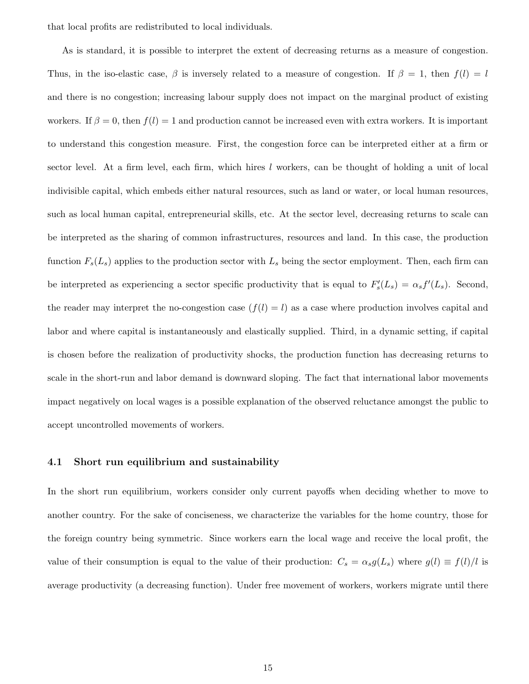that local profits are redistributed to local individuals.

As is standard, it is possible to interpret the extent of decreasing returns as a measure of congestion. Thus, in the iso-elastic case,  $\beta$  is inversely related to a measure of congestion. If  $\beta = 1$ , then  $f(l) = l$ and there is no congestion; increasing labour supply does not impact on the marginal product of existing workers. If  $\beta = 0$ , then  $f(l) = 1$  and production cannot be increased even with extra workers. It is important to understand this congestion measure. First, the congestion force can be interpreted either at a firm or sector level. At a firm level, each firm, which hires  $l$  workers, can be thought of holding a unit of local indivisible capital, which embeds either natural resources, such as land or water, or local human resources, such as local human capital, entrepreneurial skills, etc. At the sector level, decreasing returns to scale can be interpreted as the sharing of common infrastructures, resources and land. In this case, the production function  $F_s(L_s)$  applies to the production sector with  $L_s$  being the sector employment. Then, each firm can be interpreted as experiencing a sector specific productivity that is equal to  $F_s'(L_s) = \alpha_s f'(L_s)$ . Second, the reader may interpret the no-congestion case  $(f(l) = l)$  as a case where production involves capital and labor and where capital is instantaneously and elastically supplied. Third, in a dynamic setting, if capital is chosen before the realization of productivity shocks, the production function has decreasing returns to scale in the short-run and labor demand is downward sloping. The fact that international labor movements impact negatively on local wages is a possible explanation of the observed reluctance amongst the public to accept uncontrolled movements of workers.

#### 4.1 Short run equilibrium and sustainability

In the short run equilibrium, workers consider only current payoffs when deciding whether to move to another country. For the sake of conciseness, we characterize the variables for the home country, those for the foreign country being symmetric. Since workers earn the local wage and receive the local profit, the value of their consumption is equal to the value of their production:  $C_s = \alpha_s g(L_s)$  where  $g(l) \equiv f(l)/l$  is average productivity (a decreasing function). Under free movement of workers, workers migrate until there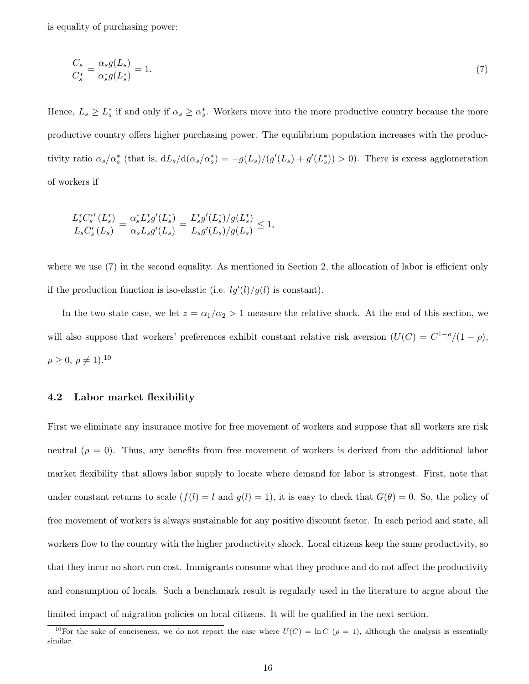is equality of purchasing power:

$$
\frac{C_s}{C_s^*} = \frac{\alpha_s g(L_s)}{\alpha_s^* g(L_s^*)} = 1.
$$
\n<sup>(7)</sup>

Hence,  $L_s \geq L_s^*$  if and only if  $\alpha_s \geq \alpha_s^*$ . Workers move into the more productive country because the more productive country offers higher purchasing power. The equilibrium population increases with the productivity ratio  $\alpha_s/\alpha_s^*$  (that is,  $dL_s/d(\alpha_s/\alpha_s^*) = -g(L_s)/(g'(L_s) + g'(L_s^*)) > 0$ ). There is excess agglomeration of workers if

$$
\frac{L_s^* C_s^{*\prime} \left( L_s^* \right)}{L_s C_s^{\prime} \left( L_s \right)} = \frac{\alpha_s^* L_s^* g^{\prime} \left( L_s^* \right)}{\alpha_s L_s g^{\prime} \left( L_s \right)} = \frac{L_s^* g^{\prime} \left( L_s^* \right) / g \left( L_s^* \right)}{L_s g^{\prime} \left( L_s \right) / g \left( L_s \right)} \leq 1,
$$

where we use (7) in the second equality. As mentioned in Section 2, the allocation of labor is efficient only if the production function is iso-elastic (i.e.  $lg'(l)/g(l)$  is constant).

In the two state case, we let  $z = \alpha_1/\alpha_2 > 1$  measure the relative shock. At the end of this section, we will also suppose that workers' preferences exhibit constant relative risk aversion  $(U(C) = C^{1-\rho}/(1-\rho),$  $\rho \geq 0, \, \rho \neq 1).^{10}$ 

#### 4.2 Labor market flexibility

First we eliminate any insurance motive for free movement of workers and suppose that all workers are risk neutral ( $\rho = 0$ ). Thus, any benefits from free movement of workers is derived from the additional labor market flexibility that allows labor supply to locate where demand for labor is strongest. First, note that under constant returns to scale  $(f(l) = l \text{ and } g(l) = 1)$ , it is easy to check that  $G(\theta) = 0$ . So, the policy of free movement of workers is always sustainable for any positive discount factor. In each period and state, all workers flow to the country with the higher productivity shock. Local citizens keep the same productivity, so that they incur no short run cost. Immigrants consume what they produce and do not affect the productivity and consumption of locals. Such a benchmark result is regularly used in the literature to argue about the limited impact of migration policies on local citizens. It will be qualified in the next section.

<sup>&</sup>lt;sup>10</sup>For the sake of conciseness, we do not report the case where  $U(C) = \ln C$  ( $\rho = 1$ ), although the analysis is essentially similar.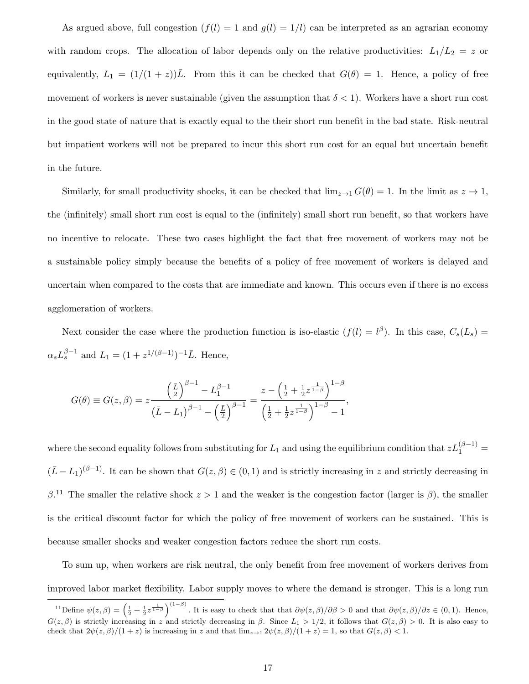As argued above, full congestion  $(f(l) = 1$  and  $g(l) = 1/l$  can be interpreted as an agrarian economy with random crops. The allocation of labor depends only on the relative productivities:  $L_1/L_2 = z$  or equivalently,  $L_1 = (1/(1 + z))\overline{L}$ . From this it can be checked that  $G(\theta) = 1$ . Hence, a policy of free movement of workers is never sustainable (given the assumption that  $\delta < 1$ ). Workers have a short run cost in the good state of nature that is exactly equal to the their short run benefit in the bad state. Risk-neutral but impatient workers will not be prepared to incur this short run cost for an equal but uncertain benefit in the future.

Similarly, for small productivity shocks, it can be checked that  $\lim_{z\to 1} G(\theta) = 1$ . In the limit as  $z \to 1$ , the (infinitely) small short run cost is equal to the (infinitely) small short run benefit, so that workers have no incentive to relocate. These two cases highlight the fact that free movement of workers may not be a sustainable policy simply because the benefits of a policy of free movement of workers is delayed and uncertain when compared to the costs that are immediate and known. This occurs even if there is no excess agglomeration of workers.

Next consider the case where the production function is iso-elastic  $(f(l) = l^{\beta})$ . In this case,  $C_s(L_s)$  $\alpha_s L_s^{\beta-1}$  and  $L_1 = (1 + z^{1/(\beta-1)})^{-1} \bar{L}$ . Hence,

$$
G(\theta) \equiv G(z,\beta) = z \frac{\left(\frac{\bar{L}}{2}\right)^{\beta-1} - L_1^{\beta-1}}{\left(\bar{L} - L_1\right)^{\beta-1} - \left(\frac{\bar{L}}{2}\right)^{\beta-1}} = \frac{z - \left(\frac{1}{2} + \frac{1}{2}z^{\frac{1}{1-\beta}}\right)^{1-\beta}}{\left(\frac{1}{2} + \frac{1}{2}z^{\frac{1}{1-\beta}}\right)^{1-\beta} - 1},
$$

where the second equality follows from substituting for  $L_1$  and using the equilibrium condition that  $zL_1^{(\beta-1)}$  =  $(\bar{L} - L_1)^{(\beta - 1)}$ . It can be shown that  $G(z, \beta) \in (0, 1)$  and is strictly increasing in z and strictly decreasing in β.<sup>11</sup> The smaller the relative shock  $z > 1$  and the weaker is the congestion factor (larger is β), the smaller is the critical discount factor for which the policy of free movement of workers can be sustained. This is because smaller shocks and weaker congestion factors reduce the short run costs.

To sum up, when workers are risk neutral, the only benefit from free movement of workers derives from improved labor market flexibility. Labor supply moves to where the demand is stronger. This is a long run

<sup>&</sup>lt;sup>11</sup>Define  $\psi(z,\beta) = \left(\frac{1}{2} + \frac{1}{2}z^{\frac{1}{1-\beta}}\right)^{(1-\beta)}$ . It is easy to check that that  $\partial\psi(z,\beta)/\partial\beta > 0$  and that  $\partial\psi(z,\beta)/\partial z \in (0,1)$ . Hence,  $G(z, \beta)$  is strictly increasing in z and strictly decreasing in  $\beta$ . Since  $L_1 > 1/2$ , it follows that  $G(z, \beta) > 0$ . It is also easy to check that  $2\psi(z,\beta)/(1+z)$  is increasing in z and that  $\lim_{z\to 1} 2\psi(z,\beta)/(1+z) = 1$ , so that  $G(z,\beta) < 1$ .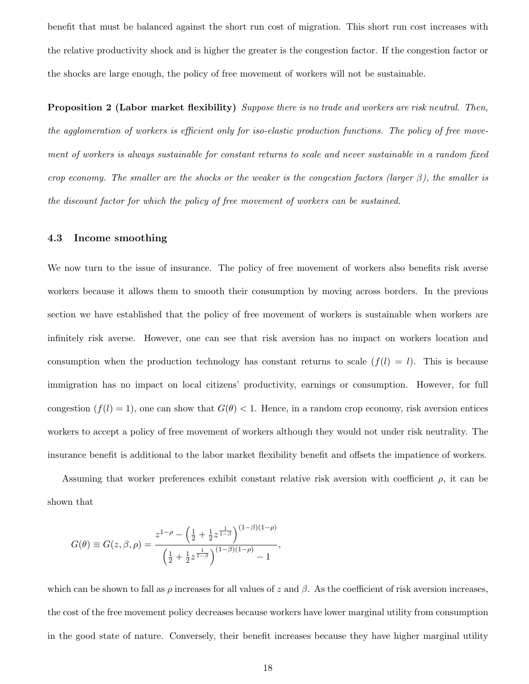benefit that must be balanced against the short run cost of migration. This short run cost increases with the relative productivity shock and is higher the greater is the congestion factor. If the congestion factor or the shocks are large enough, the policy of free movement of workers will not be sustainable.

**Proposition 2 (Labor market flexibility)** Suppose there is no trade and workers are risk neutral. Then, the agglomeration of workers is efficient only for iso-elastic production functions. The policy of free movement of workers is always sustainable for constant returns to scale and never sustainable in a random fixed crop economy. The smaller are the shocks or the weaker is the congestion factors (larger  $\beta$ ), the smaller is the discount factor for which the policy of free movement of workers can be sustained.

#### 4.3 Income smoothing

We now turn to the issue of insurance. The policy of free movement of workers also benefits risk averse workers because it allows them to smooth their consumption by moving across borders. In the previous section we have established that the policy of free movement of workers is sustainable when workers are infinitely risk averse. However, one can see that risk aversion has no impact on workers location and consumption when the production technology has constant returns to scale  $(f(l) = l)$ . This is because immigration has no impact on local citizens' productivity, earnings or consumption. However, for full congestion  $(f(l) = 1)$ , one can show that  $G(\theta) < 1$ . Hence, in a random crop economy, risk aversion entices workers to accept a policy of free movement of workers although they would not under risk neutrality. The insurance benefit is additional to the labor market flexibility benefit and offsets the impatience of workers.

Assuming that worker preferences exhibit constant relative risk aversion with coefficient  $\rho$ , it can be shown that

$$
G(\theta) \equiv G(z,\beta,\rho) = \frac{z^{1-\rho} - \left(\frac{1}{2} + \frac{1}{2}z^{\frac{1}{1-\beta}}\right)^{(1-\beta)(1-\rho)}}{\left(\frac{1}{2} + \frac{1}{2}z^{\frac{1}{1-\beta}}\right)^{(1-\beta)(1-\rho)} - 1},
$$

which can be shown to fall as  $\rho$  increases for all values of z and  $\beta$ . As the coefficient of risk aversion increases, the cost of the free movement policy decreases because workers have lower marginal utility from consumption in the good state of nature. Conversely, their benefit increases because they have higher marginal utility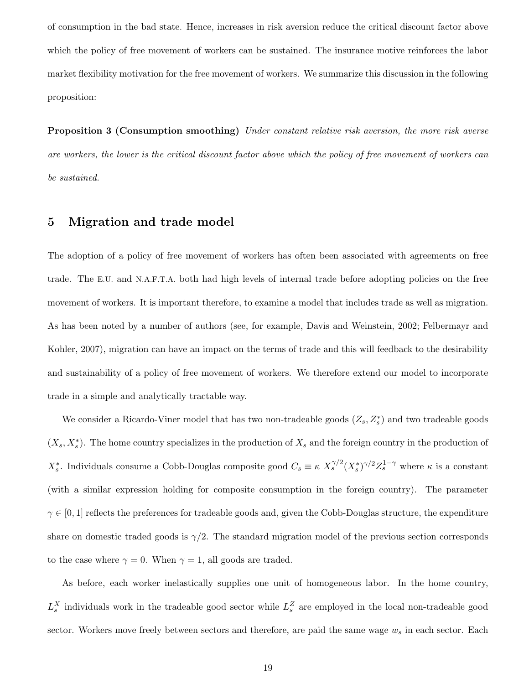of consumption in the bad state. Hence, increases in risk aversion reduce the critical discount factor above which the policy of free movement of workers can be sustained. The insurance motive reinforces the labor market flexibility motivation for the free movement of workers. We summarize this discussion in the following proposition:

**Proposition 3 (Consumption smoothing)** Under constant relative risk aversion, the more risk averse are workers, the lower is the critical discount factor above which the policy of free movement of workers can be sustained.

### 5 Migration and trade model

The adoption of a policy of free movement of workers has often been associated with agreements on free trade. The E.U. and N.A.F.T.A. both had high levels of internal trade before adopting policies on the free movement of workers. It is important therefore, to examine a model that includes trade as well as migration. As has been noted by a number of authors (see, for example, Davis and Weinstein, 2002; Felbermayr and Kohler, 2007), migration can have an impact on the terms of trade and this will feedback to the desirability and sustainability of a policy of free movement of workers. We therefore extend our model to incorporate trade in a simple and analytically tractable way.

We consider a Ricardo-Viner model that has two non-tradeable goods  $(Z_s, Z_s^*)$  and two tradeable goods  $(X_s, X_s^*)$ . The home country specializes in the production of  $X_s$  and the foreign country in the production of  $X_s^*$ . Individuals consume a Cobb-Douglas composite good  $C_s \equiv \kappa \ X_s^{\gamma/2} (X_s^*)^{\gamma/2} Z_s^{1-\gamma}$  where  $\kappa$  is a constant (with a similar expression holding for composite consumption in the foreign country). The parameter  $\gamma \in [0,1]$  reflects the preferences for tradeable goods and, given the Cobb-Douglas structure, the expenditure share on domestic traded goods is  $\gamma/2$ . The standard migration model of the previous section corresponds to the case where  $\gamma = 0$ . When  $\gamma = 1$ , all goods are traded.

As before, each worker inelastically supplies one unit of homogeneous labor. In the home country,  $L_s^X$  individuals work in the tradeable good sector while  $L_s^Z$  are employed in the local non-tradeable good sector. Workers move freely between sectors and therefore, are paid the same wage  $w_s$  in each sector. Each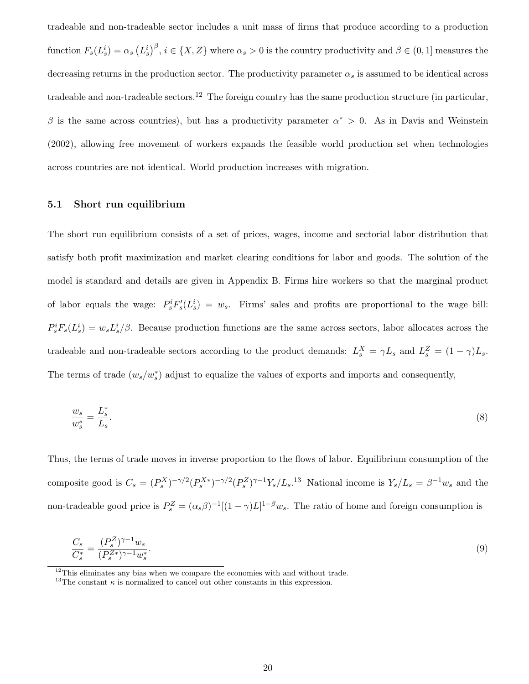tradeable and non-tradeable sector includes a unit mass of firms that produce according to a production function  $F_s(L_s^i) = \alpha_s (L_s^i)^\beta$ ,  $i \in \{X, Z\}$  where  $\alpha_s > 0$  is the country productivity and  $\beta \in (0, 1]$  measures the decreasing returns in the production sector. The productivity parameter  $\alpha_s$  is assumed to be identical across tradeable and non-tradeable sectors.<sup>12</sup> The foreign country has the same production structure (in particular, β is the same across countries), but has a productivity parameter  $\alpha^* > 0$ . As in Davis and Weinstein (2002), allowing free movement of workers expands the feasible world production set when technologies across countries are not identical. World production increases with migration.

#### 5.1 Short run equilibrium

The short run equilibrium consists of a set of prices, wages, income and sectorial labor distribution that satisfy both profit maximization and market clearing conditions for labor and goods. The solution of the model is standard and details are given in Appendix B. Firms hire workers so that the marginal product of labor equals the wage:  $P_s^i F_s'(L_s^i) = w_s$ . Firms' sales and profits are proportional to the wage bill:  $P_s^i F_s(L_s^i) = w_s L_s^i/\beta$ . Because production functions are the same across sectors, labor allocates across the tradeable and non-tradeable sectors according to the product demands:  $L_s^X = \gamma L_s$  and  $L_s^Z = (1 - \gamma)L_s$ . The terms of trade  $(w_s/w_s^*)$  adjust to equalize the values of exports and imports and consequently,

$$
\frac{w_s}{w_s^*} = \frac{L_s^*}{L_s}.\tag{8}
$$

Thus, the terms of trade moves in inverse proportion to the flows of labor. Equilibrium consumption of the composite good is  $C_s = (P_s^X)^{-\gamma/2} (P_s^X^*)^{-\gamma/2} (P_s^Z)^{\gamma-1} Y_s/L_s$ .<sup>13</sup> National income is  $Y_s/L_s = \beta^{-1} w_s$  and the non-tradeable good price is  $P_s^Z = (\alpha_s \beta)^{-1}[(1-\gamma)L]^{1-\beta}w_s$ . The ratio of home and foreign consumption is

$$
\frac{C_s}{C_s^*} = \frac{(P_s^Z)^{\gamma - 1} w_s}{(P_s^Z^*)^{\gamma - 1} w_s^*}.
$$
\n(9)

<sup>12</sup>This eliminates any bias when we compare the economies with and without trade.

<sup>&</sup>lt;sup>13</sup>The constant  $\kappa$  is normalized to cancel out other constants in this expression.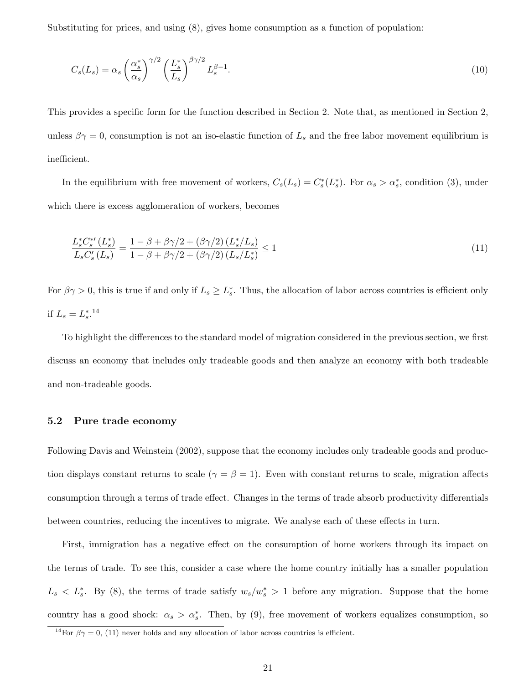Substituting for prices, and using (8), gives home consumption as a function of population:

$$
C_s(L_s) = \alpha_s \left(\frac{\alpha_s^*}{\alpha_s}\right)^{\gamma/2} \left(\frac{L_s^*}{L_s}\right)^{\beta\gamma/2} L_s^{\beta - 1}.\tag{10}
$$

This provides a specific form for the function described in Section 2. Note that, as mentioned in Section 2, unless  $\beta \gamma = 0$ , consumption is not an iso-elastic function of  $L_s$  and the free labor movement equilibrium is inefficient.

In the equilibrium with free movement of workers,  $C_s(L_s) = C_s^*(L_s^*)$ . For  $\alpha_s > \alpha_s^*$ , condition (3), under which there is excess agglomeration of workers, becomes

$$
\frac{L_s^* C_s^{*\prime} (L_s^*)}{L_s C_s^{\prime} (L_s)} = \frac{1 - \beta + \beta \gamma / 2 + (\beta \gamma / 2) (L_s^* / L_s)}{1 - \beta + \beta \gamma / 2 + (\beta \gamma / 2) (L_s / L_s^*)} \le 1
$$
\n(11)

For  $\beta\gamma>0$ , this is true if and only if  $L_s\geq L_s^*$ . Thus, the allocation of labor across countries is efficient only if  $L_s = L_s^*$ .<sup>14</sup>

To highlight the differences to the standard model of migration considered in the previous section, we first discuss an economy that includes only tradeable goods and then analyze an economy with both tradeable and non-tradeable goods.

#### 5.2 Pure trade economy

Following Davis and Weinstein (2002), suppose that the economy includes only tradeable goods and production displays constant returns to scale ( $\gamma = \beta = 1$ ). Even with constant returns to scale, migration affects consumption through a terms of trade effect. Changes in the terms of trade absorb productivity differentials between countries, reducing the incentives to migrate. We analyse each of these effects in turn.

First, immigration has a negative effect on the consumption of home workers through its impact on the terms of trade. To see this, consider a case where the home country initially has a smaller population  $L_s < L_s^*$ . By (8), the terms of trade satisfy  $w_s/w_s^* > 1$  before any migration. Suppose that the home country has a good shock:  $\alpha_s > \alpha_s^*$ . Then, by (9), free movement of workers equalizes consumption, so

<sup>&</sup>lt;sup>14</sup>For  $\beta \gamma = 0$ , (11) never holds and any allocation of labor across countries is efficient.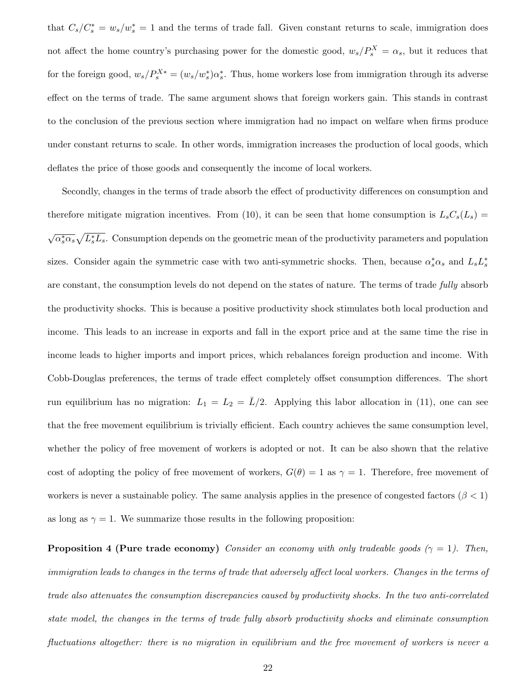that  $C_s/C_s^* = w_s/w_s^* = 1$  and the terms of trade fall. Given constant returns to scale, immigration does not affect the home country's purchasing power for the domestic good,  $w_s/P_s^X = \alpha_s$ , but it reduces that for the foreign good,  $w_s/P_s^{X*} = (w_s/w_s^*)\alpha_s^*$ . Thus, home workers lose from immigration through its adverse effect on the terms of trade. The same argument shows that foreign workers gain. This stands in contrast to the conclusion of the previous section where immigration had no impact on welfare when firms produce under constant returns to scale. In other words, immigration increases the production of local goods, which deflates the price of those goods and consequently the income of local workers.

Secondly, changes in the terms of trade absorb the effect of productivity differences on consumption and therefore mitigate migration incentives. From (10), it can be seen that home consumption is  $L_sC_s(L_s)$  =  $\sqrt{\alpha_s^* \alpha_s} \sqrt{L_s^* L_s}$ . Consumption depends on the geometric mean of the productivity parameters and population sizes. Consider again the symmetric case with two anti-symmetric shocks. Then, because  $\alpha_s^* \alpha_s$  and  $L_s L_s^*$ are constant, the consumption levels do not depend on the states of nature. The terms of trade fully absorb the productivity shocks. This is because a positive productivity shock stimulates both local production and income. This leads to an increase in exports and fall in the export price and at the same time the rise in income leads to higher imports and import prices, which rebalances foreign production and income. With Cobb-Douglas preferences, the terms of trade effect completely offset consumption differences. The short run equilibrium has no migration:  $L_1 = L_2 = \overline{L}/2$ . Applying this labor allocation in (11), one can see that the free movement equilibrium is trivially efficient. Each country achieves the same consumption level, whether the policy of free movement of workers is adopted or not. It can be also shown that the relative cost of adopting the policy of free movement of workers,  $G(\theta) = 1$  as  $\gamma = 1$ . Therefore, free movement of workers is never a sustainable policy. The same analysis applies in the presence of congested factors ( $\beta$  < 1) as long as  $\gamma = 1$ . We summarize those results in the following proposition:

**Proposition 4 (Pure trade economy)** Consider an economy with only tradeable goods ( $\gamma = 1$ ). Then, immigration leads to changes in the terms of trade that adversely affect local workers. Changes in the terms of trade also attenuates the consumption discrepancies caused by productivity shocks. In the two anti-correlated state model, the changes in the terms of trade fully absorb productivity shocks and eliminate consumption fluctuations altogether: there is no migration in equilibrium and the free movement of workers is never a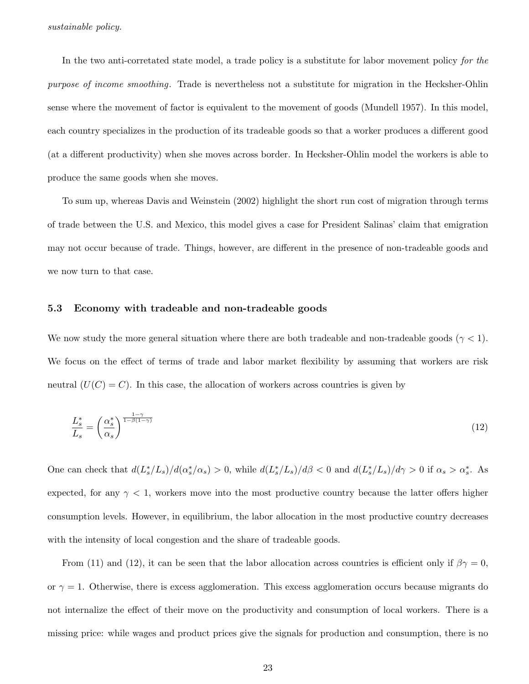In the two anti-corretated state model, a trade policy is a substitute for labor movement policy for the purpose of income smoothing. Trade is nevertheless not a substitute for migration in the Hecksher-Ohlin sense where the movement of factor is equivalent to the movement of goods (Mundell 1957). In this model, each country specializes in the production of its tradeable goods so that a worker produces a different good (at a different productivity) when she moves across border. In Hecksher-Ohlin model the workers is able to produce the same goods when she moves.

To sum up, whereas Davis and Weinstein (2002) highlight the short run cost of migration through terms of trade between the U.S. and Mexico, this model gives a case for President Salinas' claim that emigration may not occur because of trade. Things, however, are different in the presence of non-tradeable goods and we now turn to that case.

#### 5.3 Economy with tradeable and non-tradeable goods

We now study the more general situation where there are both tradeable and non-tradeable goods ( $\gamma$  < 1). We focus on the effect of terms of trade and labor market flexibility by assuming that workers are risk neutral  $(U(C) = C)$ . In this case, the allocation of workers across countries is given by

$$
\frac{L_s^*}{L_s} = \left(\frac{\alpha_s^*}{\alpha_s}\right)^{\frac{1-\gamma}{1-\beta(1-\gamma)}}
$$
(12)

One can check that  $d(L_s^*/L_s)/d(\alpha_s^*/\alpha_s) > 0$ , while  $d(L_s^*/L_s)/d\beta < 0$  and  $d(L_s^*/L_s)/d\gamma > 0$  if  $\alpha_s > \alpha_s^*$ . As expected, for any  $\gamma$  < 1, workers move into the most productive country because the latter offers higher consumption levels. However, in equilibrium, the labor allocation in the most productive country decreases with the intensity of local congestion and the share of tradeable goods.

From (11) and (12), it can be seen that the labor allocation across countries is efficient only if  $\beta\gamma = 0$ , or  $\gamma = 1$ . Otherwise, there is excess agglomeration. This excess agglomeration occurs because migrants do not internalize the effect of their move on the productivity and consumption of local workers. There is a missing price: while wages and product prices give the signals for production and consumption, there is no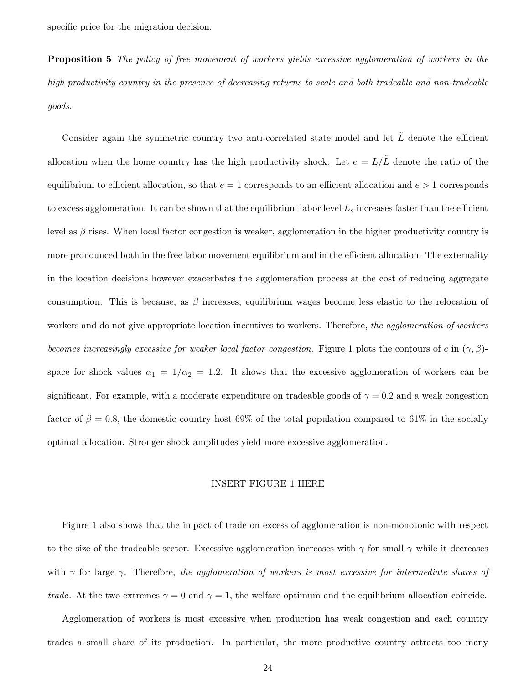specific price for the migration decision.

**Proposition 5** The policy of free movement of workers yields excessive agglomeration of workers in the high productivity country in the presence of decreasing returns to scale and both tradeable and non-tradeable goods.

Consider again the symmetric country two anti-correlated state model and let  $\tilde{L}$  denote the efficient allocation when the home country has the high productivity shock. Let  $e = L/L$  denote the ratio of the equilibrium to efficient allocation, so that  $e = 1$  corresponds to an efficient allocation and  $e > 1$  corresponds to excess agglomeration. It can be shown that the equilibrium labor level  $L_s$  increases faster than the efficient level as  $\beta$  rises. When local factor congestion is weaker, agglomeration in the higher productivity country is more pronounced both in the free labor movement equilibrium and in the efficient allocation. The externality in the location decisions however exacerbates the agglomeration process at the cost of reducing aggregate consumption. This is because, as  $\beta$  increases, equilibrium wages become less elastic to the relocation of workers and do not give appropriate location incentives to workers. Therefore, the agglomeration of workers becomes increasingly excessive for weaker local factor congestion. Figure 1 plots the contours of e in  $(\gamma, \beta)$ space for shock values  $\alpha_1 = 1/\alpha_2 = 1.2$ . It shows that the excessive agglomeration of workers can be significant. For example, with a moderate expenditure on tradeable goods of  $\gamma = 0.2$  and a weak congestion factor of  $\beta = 0.8$ , the domestic country host 69% of the total population compared to 61% in the socially optimal allocation. Stronger shock amplitudes yield more excessive agglomeration.

#### INSERT FIGURE 1 HERE

Figure 1 also shows that the impact of trade on excess of agglomeration is non-monotonic with respect to the size of the tradeable sector. Excessive agglomeration increases with  $\gamma$  for small  $\gamma$  while it decreases with  $\gamma$  for large  $\gamma$ . Therefore, the agglomeration of workers is most excessive for intermediate shares of *trade.* At the two extremes  $\gamma = 0$  and  $\gamma = 1$ , the welfare optimum and the equilibrium allocation coincide.

Agglomeration of workers is most excessive when production has weak congestion and each country trades a small share of its production. In particular, the more productive country attracts too many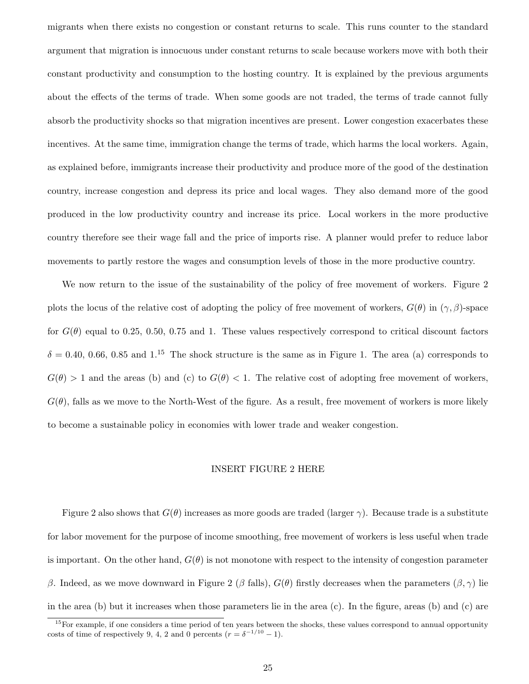migrants when there exists no congestion or constant returns to scale. This runs counter to the standard argument that migration is innocuous under constant returns to scale because workers move with both their constant productivity and consumption to the hosting country. It is explained by the previous arguments about the effects of the terms of trade. When some goods are not traded, the terms of trade cannot fully absorb the productivity shocks so that migration incentives are present. Lower congestion exacerbates these incentives. At the same time, immigration change the terms of trade, which harms the local workers. Again, as explained before, immigrants increase their productivity and produce more of the good of the destination country, increase congestion and depress its price and local wages. They also demand more of the good produced in the low productivity country and increase its price. Local workers in the more productive country therefore see their wage fall and the price of imports rise. A planner would prefer to reduce labor movements to partly restore the wages and consumption levels of those in the more productive country.

We now return to the issue of the sustainability of the policy of free movement of workers. Figure 2 plots the locus of the relative cost of adopting the policy of free movement of workers,  $G(\theta)$  in  $(\gamma, \beta)$ -space for  $G(\theta)$  equal to 0.25, 0.50, 0.75 and 1. These values respectively correspond to critical discount factors  $\delta = 0.40, 0.66, 0.85$  and  $1^{15}$ . The shock structure is the same as in Figure 1. The area (a) corresponds to  $G(\theta) > 1$  and the areas (b) and (c) to  $G(\theta) < 1$ . The relative cost of adopting free movement of workers,  $G(\theta)$ , falls as we move to the North-West of the figure. As a result, free movement of workers is more likely to become a sustainable policy in economies with lower trade and weaker congestion.

#### INSERT FIGURE 2 HERE

Figure 2 also shows that  $G(\theta)$  increases as more goods are traded (larger  $\gamma$ ). Because trade is a substitute for labor movement for the purpose of income smoothing, free movement of workers is less useful when trade is important. On the other hand,  $G(\theta)$  is not monotone with respect to the intensity of congestion parameter β. Indeed, as we move downward in Figure 2 (β falls),  $G(\theta)$  firstly decreases when the parameters  $(\beta, \gamma)$  lie in the area (b) but it increases when those parameters lie in the area  $(c)$ . In the figure, areas (b) and  $(c)$  are

 $15$ For example, if one considers a time period of ten years between the shocks, these values correspond to annual opportunity costs of time of respectively 9, 4, 2 and 0 percents  $(r = \delta^{-1/10} - 1)$ .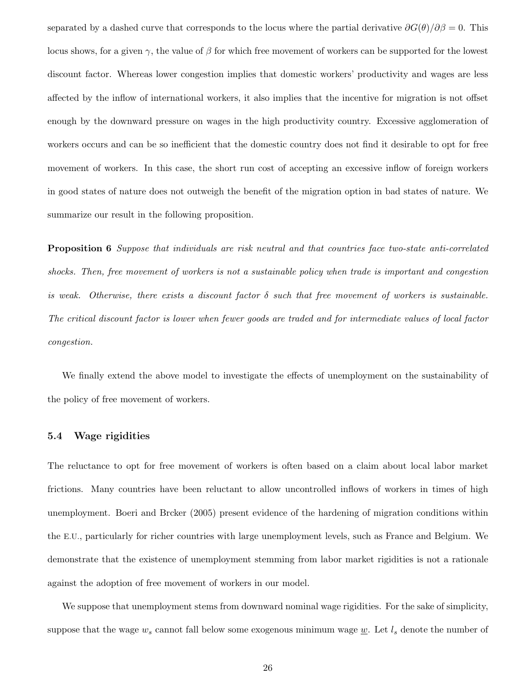separated by a dashed curve that corresponds to the locus where the partial derivative  $\partial G(\theta)/\partial \beta = 0$ . This locus shows, for a given  $\gamma$ , the value of  $\beta$  for which free movement of workers can be supported for the lowest discount factor. Whereas lower congestion implies that domestic workers' productivity and wages are less affected by the inflow of international workers, it also implies that the incentive for migration is not offset enough by the downward pressure on wages in the high productivity country. Excessive agglomeration of workers occurs and can be so inefficient that the domestic country does not find it desirable to opt for free movement of workers. In this case, the short run cost of accepting an excessive inflow of foreign workers in good states of nature does not outweigh the benefit of the migration option in bad states of nature. We summarize our result in the following proposition.

**Proposition 6** Suppose that individuals are risk neutral and that countries face two-state anti-correlated shocks. Then, free movement of workers is not a sustainable policy when trade is important and congestion is weak. Otherwise, there exists a discount factor  $\delta$  such that free movement of workers is sustainable. The critical discount factor is lower when fewer goods are traded and for intermediate values of local factor congestion.

We finally extend the above model to investigate the effects of unemployment on the sustainability of the policy of free movement of workers.

#### 5.4 Wage rigidities

The reluctance to opt for free movement of workers is often based on a claim about local labor market frictions. Many countries have been reluctant to allow uncontrolled inflows of workers in times of high unemployment. Boeri and Brcker (2005) present evidence of the hardening of migration conditions within the E.U., particularly for richer countries with large unemployment levels, such as France and Belgium. We demonstrate that the existence of unemployment stemming from labor market rigidities is not a rationale against the adoption of free movement of workers in our model.

We suppose that unemployment stems from downward nominal wage rigidities. For the sake of simplicity, suppose that the wage  $w_s$  cannot fall below some exogenous minimum wage  $\underline{w}$ . Let  $l_s$  denote the number of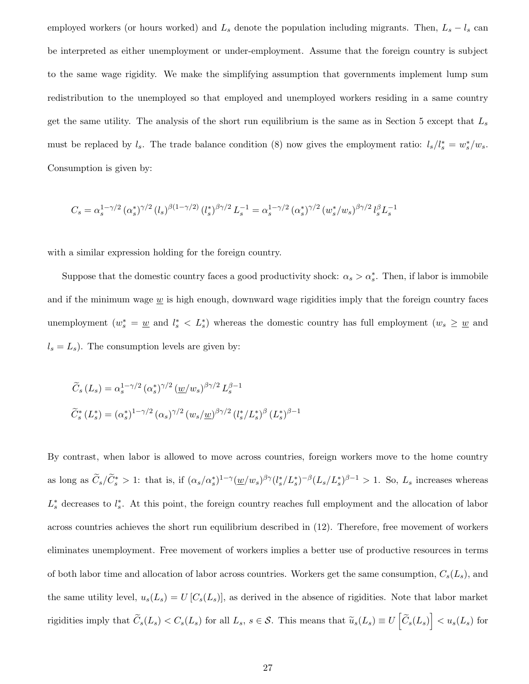employed workers (or hours worked) and  $L_s$  denote the population including migrants. Then,  $L_s - l_s$  can be interpreted as either unemployment or under-employment. Assume that the foreign country is subject to the same wage rigidity. We make the simplifying assumption that governments implement lump sum redistribution to the unemployed so that employed and unemployed workers residing in a same country get the same utility. The analysis of the short run equilibrium is the same as in Section 5 except that  $L_s$ must be replaced by  $l_s$ . The trade balance condition (8) now gives the employment ratio:  $l_s/l_s^* = w_s^*/w_s$ . Consumption is given by:

$$
C_s = \alpha_s^{1 - \gamma/2} \, (\alpha_s^*)^{\gamma/2} \, (l_s)^{\beta(1 - \gamma/2)} \, (l_s^*)^{\beta\gamma/2} \, L_s^{-1} = \alpha_s^{1 - \gamma/2} \, (\alpha_s^*)^{\gamma/2} \, (w_s^*/w_s)^{\beta\gamma/2} \, l_s^{\beta} L_s^{-1}
$$

with a similar expression holding for the foreign country.

Suppose that the domestic country faces a good productivity shock:  $\alpha_s > \alpha_s^*$ . Then, if labor is immobile and if the minimum wage  $w$  is high enough, downward wage rigidities imply that the foreign country faces unemployment  $(w_s^* = \underline{w}$  and  $l_s^* < L_s^*$ ) whereas the domestic country has full employment  $(w_s \geq \underline{w}$  and  $l_s = L_s$ ). The consumption levels are given by:

$$
\widetilde{C}_{s}(L_{s}) = \alpha_{s}^{1-\gamma/2} (\alpha_{s})^{\gamma/2} (\underline{w}/w_{s})^{\beta\gamma/2} L_{s}^{\beta-1}
$$
  

$$
\widetilde{C}_{s}^{*}(L_{s}^{*}) = (\alpha_{s}^{*})^{1-\gamma/2} (\alpha_{s})^{\gamma/2} (w_{s}/\underline{w})^{\beta\gamma/2} (l_{s}^{*}/L_{s}^{*})^{\beta} (L_{s}^{*})^{\beta-1}
$$

By contrast, when labor is allowed to move across countries, foreign workers move to the home country as long as  $\tilde{C}_s/\tilde{C}_s^* > 1$ : that is, if  $(\alpha_s/\alpha_s^*)^{1-\gamma}(\underline{w}/w_s)^{\beta\gamma}(l_s^*/L_s^*)^{-\beta}(L_s/L_s^*)^{\beta-1} > 1$ . So,  $L_s$  increases whereas  $L_s^*$  decreases to  $l_s^*$ . At this point, the foreign country reaches full employment and the allocation of labor across countries achieves the short run equilibrium described in (12). Therefore, free movement of workers eliminates unemployment. Free movement of workers implies a better use of productive resources in terms of both labor time and allocation of labor across countries. Workers get the same consumption,  $C_s(L_s)$ , and the same utility level,  $u_s(L_s) = U[C_s(L_s)]$ , as derived in the absence of rigidities. Note that labor market rigidities imply that  $\widetilde{C}_s(L_s) < C_s(L_s)$  for all  $L_s$ ,  $s \in \mathcal{S}$ . This means that  $\widetilde{u}_s(L_s) \equiv U\left[\widetilde{C}_s(L_s)\right] < u_s(L_s)$  for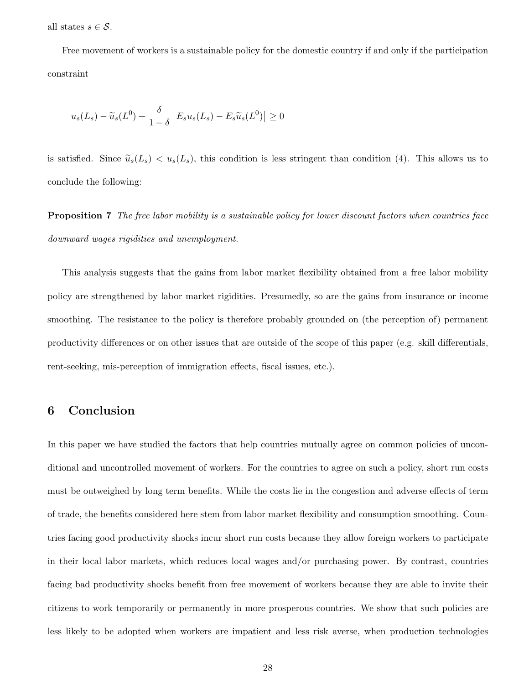all states  $s \in \mathcal{S}$ .

Free movement of workers is a sustainable policy for the domestic country if and only if the participation constraint

$$
u_s(L_s) - \widetilde{u}_s(L^0) + \frac{\delta}{1-\delta} \left[ E_s u_s(L_s) - E_s \widetilde{u}_s(L^0) \right] \ge 0
$$

is satisfied. Since  $\tilde{u}_s(L_s) < u_s(L_s)$ , this condition is less stringent than condition (4). This allows us to conclude the following:

**Proposition 7** The free labor mobility is a sustainable policy for lower discount factors when countries face downward wages rigidities and unemployment.

This analysis suggests that the gains from labor market flexibility obtained from a free labor mobility policy are strengthened by labor market rigidities. Presumedly, so are the gains from insurance or income smoothing. The resistance to the policy is therefore probably grounded on (the perception of) permanent productivity differences or on other issues that are outside of the scope of this paper (e.g. skill differentials, rent-seeking, mis-perception of immigration effects, fiscal issues, etc.).

## 6 Conclusion

In this paper we have studied the factors that help countries mutually agree on common policies of unconditional and uncontrolled movement of workers. For the countries to agree on such a policy, short run costs must be outweighed by long term benefits. While the costs lie in the congestion and adverse effects of term of trade, the benefits considered here stem from labor market flexibility and consumption smoothing. Countries facing good productivity shocks incur short run costs because they allow foreign workers to participate in their local labor markets, which reduces local wages and/or purchasing power. By contrast, countries facing bad productivity shocks benefit from free movement of workers because they are able to invite their citizens to work temporarily or permanently in more prosperous countries. We show that such policies are less likely to be adopted when workers are impatient and less risk averse, when production technologies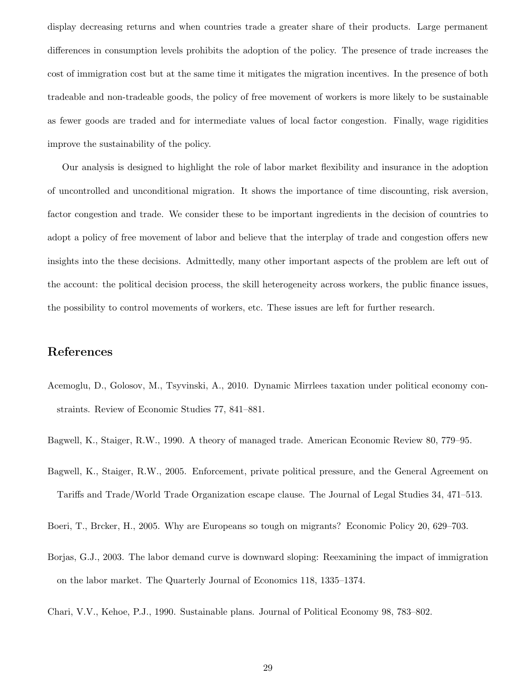display decreasing returns and when countries trade a greater share of their products. Large permanent differences in consumption levels prohibits the adoption of the policy. The presence of trade increases the cost of immigration cost but at the same time it mitigates the migration incentives. In the presence of both tradeable and non-tradeable goods, the policy of free movement of workers is more likely to be sustainable as fewer goods are traded and for intermediate values of local factor congestion. Finally, wage rigidities improve the sustainability of the policy.

Our analysis is designed to highlight the role of labor market flexibility and insurance in the adoption of uncontrolled and unconditional migration. It shows the importance of time discounting, risk aversion, factor congestion and trade. We consider these to be important ingredients in the decision of countries to adopt a policy of free movement of labor and believe that the interplay of trade and congestion offers new insights into the these decisions. Admittedly, many other important aspects of the problem are left out of the account: the political decision process, the skill heterogeneity across workers, the public finance issues, the possibility to control movements of workers, etc. These issues are left for further research.

## References

- Acemoglu, D., Golosov, M., Tsyvinski, A., 2010. Dynamic Mirrlees taxation under political economy constraints. Review of Economic Studies 77, 841–881.
- Bagwell, K., Staiger, R.W., 1990. A theory of managed trade. American Economic Review 80, 779–95.
- Bagwell, K., Staiger, R.W., 2005. Enforcement, private political pressure, and the General Agreement on Tariffs and Trade/World Trade Organization escape clause. The Journal of Legal Studies 34, 471–513.
- Boeri, T., Brcker, H., 2005. Why are Europeans so tough on migrants? Economic Policy 20, 629–703.
- Borjas, G.J., 2003. The labor demand curve is downward sloping: Reexamining the impact of immigration on the labor market. The Quarterly Journal of Economics 118, 1335–1374.
- Chari, V.V., Kehoe, P.J., 1990. Sustainable plans. Journal of Political Economy 98, 783–802.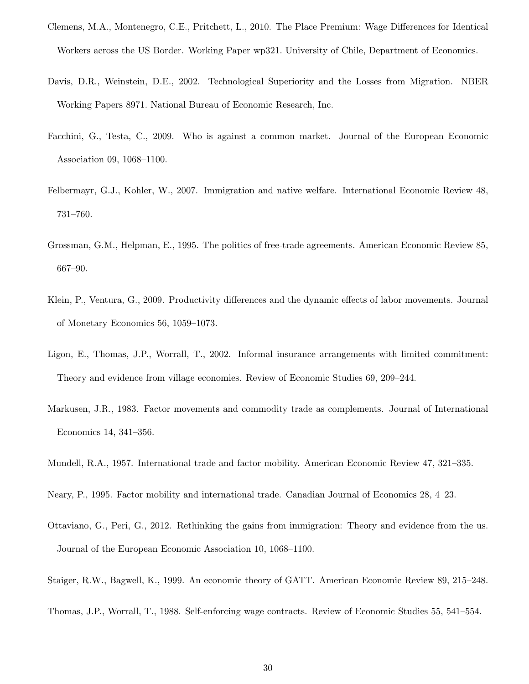- Clemens, M.A., Montenegro, C.E., Pritchett, L., 2010. The Place Premium: Wage Differences for Identical Workers across the US Border. Working Paper wp321. University of Chile, Department of Economics.
- Davis, D.R., Weinstein, D.E., 2002. Technological Superiority and the Losses from Migration. NBER Working Papers 8971. National Bureau of Economic Research, Inc.
- Facchini, G., Testa, C., 2009. Who is against a common market. Journal of the European Economic Association 09, 1068–1100.
- Felbermayr, G.J., Kohler, W., 2007. Immigration and native welfare. International Economic Review 48, 731–760.
- Grossman, G.M., Helpman, E., 1995. The politics of free-trade agreements. American Economic Review 85, 667–90.
- Klein, P., Ventura, G., 2009. Productivity differences and the dynamic effects of labor movements. Journal of Monetary Economics 56, 1059–1073.
- Ligon, E., Thomas, J.P., Worrall, T., 2002. Informal insurance arrangements with limited commitment: Theory and evidence from village economies. Review of Economic Studies 69, 209–244.
- Markusen, J.R., 1983. Factor movements and commodity trade as complements. Journal of International Economics 14, 341–356.
- Mundell, R.A., 1957. International trade and factor mobility. American Economic Review 47, 321–335.
- Neary, P., 1995. Factor mobility and international trade. Canadian Journal of Economics 28, 4–23.
- Ottaviano, G., Peri, G., 2012. Rethinking the gains from immigration: Theory and evidence from the us. Journal of the European Economic Association 10, 1068–1100.
- Staiger, R.W., Bagwell, K., 1999. An economic theory of GATT. American Economic Review 89, 215–248.
- Thomas, J.P., Worrall, T., 1988. Self-enforcing wage contracts. Review of Economic Studies 55, 541–554.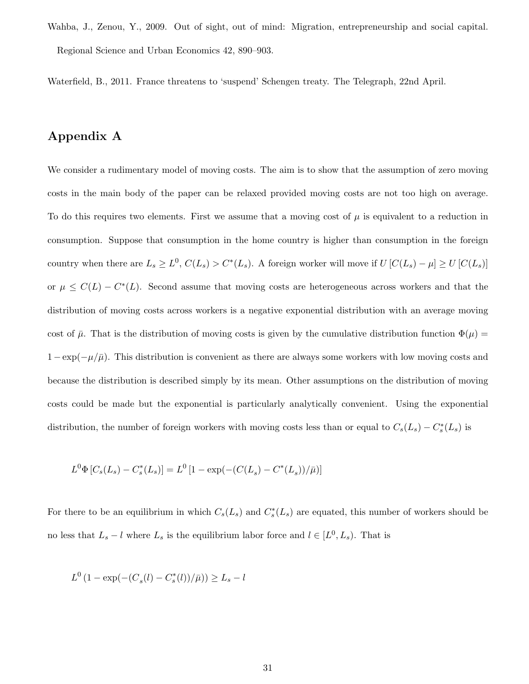Wahba, J., Zenou, Y., 2009. Out of sight, out of mind: Migration, entrepreneurship and social capital. Regional Science and Urban Economics 42, 890–903.

Waterfield, B., 2011. France threatens to 'suspend' Schengen treaty. The Telegraph, 22nd April.

## Appendix A

We consider a rudimentary model of moving costs. The aim is to show that the assumption of zero moving costs in the main body of the paper can be relaxed provided moving costs are not too high on average. To do this requires two elements. First we assume that a moving cost of  $\mu$  is equivalent to a reduction in consumption. Suppose that consumption in the home country is higher than consumption in the foreign country when there are  $L_s \geq L^0$ ,  $C(L_s) > C^*(L_s)$ . A foreign worker will move if  $U[C(L_s) - \mu] \geq U[C(L_s)]$ or  $\mu \leq C(L) - C^{*}(L)$ . Second assume that moving costs are heterogeneous across workers and that the distribution of moving costs across workers is a negative exponential distribution with an average moving cost of  $\bar{\mu}$ . That is the distribution of moving costs is given by the cumulative distribution function  $\Phi(\mu)$  =  $1 - \exp(-\mu/\bar{\mu})$ . This distribution is convenient as there are always some workers with low moving costs and because the distribution is described simply by its mean. Other assumptions on the distribution of moving costs could be made but the exponential is particularly analytically convenient. Using the exponential distribution, the number of foreign workers with moving costs less than or equal to  $C_s(L_s) - C_s^*(L_s)$  is

$$
L^{0}\Phi\left[C_{s}(L_{s})-C_{s}^{*}(L_{s})\right]=L^{0}\left[1-\exp(-(C(L_{s})-C^{*}(L_{s}))/\bar{\mu})\right]
$$

For there to be an equilibrium in which  $C_s(L_s)$  and  $C_s^*(L_s)$  are equated, this number of workers should be no less that  $L_s - l$  where  $L_s$  is the equilibrium labor force and  $l \in [L^0, L_s)$ . That is

$$
L^{0} (1 - \exp(-(C_{s}(l) - C_{s}^{*}(l))/\bar{\mu})) \ge L_{s} - l
$$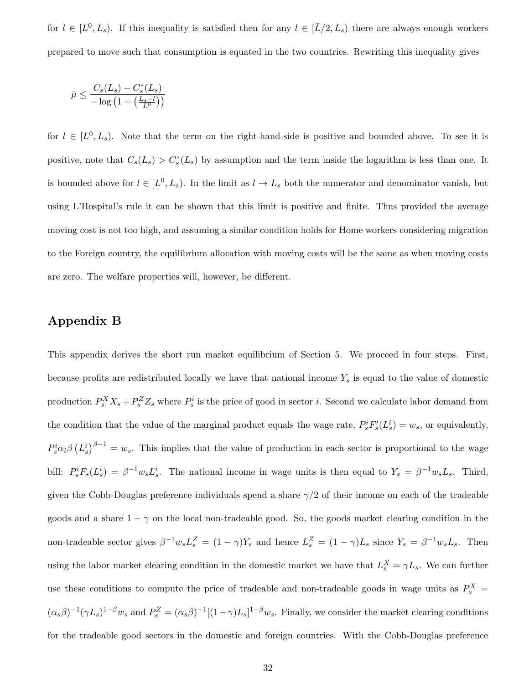for  $l \in [L^0, L_s)$ . If this inequality is satisfied then for any  $l \in [\bar{L}/2, L_s)$  there are always enough workers prepared to move such that consumption is equated in the two countries. Rewriting this inequality gives

$$
\bar{\mu} \le \frac{C_s(L_s) - C_s^*(L_s)}{-\log\left(1 - \left(\frac{L_s - l}{L^0}\right)\right)}
$$

for  $l \in [L^0, L_s)$ . Note that the term on the right-hand-side is positive and bounded above. To see it is positive, note that  $C_s(L_s) > C_s^*(L_s)$  by assumption and the term inside the logarithm is less than one. It is bounded above for  $l \in [L^0, L_s)$ . In the limit as  $l \to L_s$  both the numerator and denominator vanish, but using L'Hospital's rule it can be shown that this limit is positive and finite. Thus provided the average moving cost is not too high, and assuming a similar condition holds for Home workers considering migration to the Foreign country, the equilibrium allocation with moving costs will be the same as when moving costs are zero. The welfare properties will, however, be different.

### Appendix B

This appendix derives the short run market equilibrium of Section 5. We proceed in four steps. First, because profits are redistributed locally we have that national income  $Y_s$  is equal to the value of domestic production  $P_s^X X_s + P_s^Z Z_s$  where  $P_s^i$  is the price of good in sector *i*. Second we calculate labor demand from the condition that the value of the marginal product equals the wage rate,  $P_s^i F_s'(L_s^i) = w_s$ , or equivalently,  $P_s^i \alpha_i \beta (L_s^i)^{\beta - 1} = w_s$ . This implies that the value of production in each sector is proportional to the wage bill:  $P_s^i F_s(L_s^i) = \beta^{-1} w_s L_s^i$ . The national income in wage units is then equal to  $Y_s = \beta^{-1} w_s L_s$ . Third, given the Cobb-Douglas preference individuals spend a share  $\gamma/2$  of their income on each of the tradeable goods and a share  $1 - \gamma$  on the local non-tradeable good. So, the goods market clearing condition in the non-tradeable sector gives  $\beta^{-1}w_s L_s^Z = (1 - \gamma)Y_s$  and hence  $L_s^Z = (1 - \gamma)L_s$  since  $Y_s = \beta^{-1}w_s L_s$ . Then using the labor market clearing condition in the domestic market we have that  $L_s^X = \gamma L_s$ . We can further use these conditions to compute the price of tradeable and non-tradeable goods in wage units as  $P_s^X$  =  $(\alpha_s \beta)^{-1} (\gamma L_s)^{1-\beta} w_s$  and  $P_s^Z = (\alpha_s \beta)^{-1} [(1-\gamma)L_s]^{1-\beta} w_s$ . Finally, we consider the market clearing conditions for the tradeable good sectors in the domestic and foreign countries. With the Cobb-Douglas preference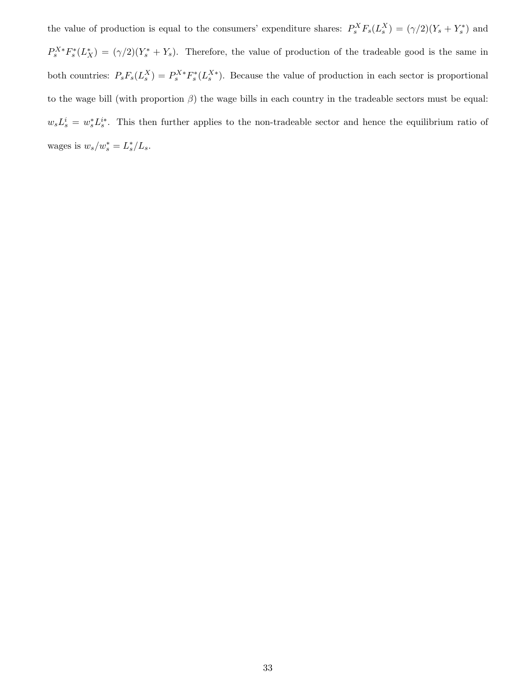the value of production is equal to the consumers' expenditure shares:  $P_s^X F_s(L_s^X) = (\gamma/2)(Y_s + Y_s^*)$  and  $P_s^{X*}F_s^*(L_X^*) = (\gamma/2)(Y_s^* + Y_s)$ . Therefore, the value of production of the tradeable good is the same in both countries:  $P_s F_s(L_s^X) = P_s^{X*} F_s^*(L_s^{X*})$ . Because the value of production in each sector is proportional to the wage bill (with proportion  $\beta$ ) the wage bills in each country in the tradeable sectors must be equal:  $w_s L_s^i = w_s^* L_s^{i*}$ . This then further applies to the non-tradeable sector and hence the equilibrium ratio of wages is  $w_s/w_s^* = L_s^*/L_s$ .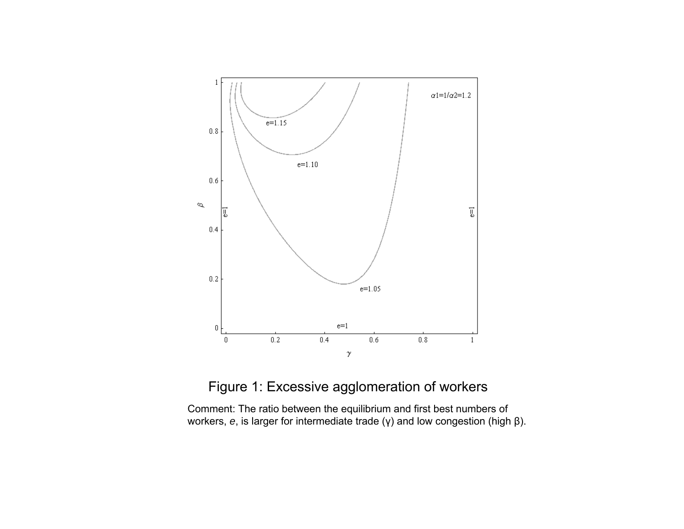

## Figure 1: Excessive agglomeration of workers

Comment: The ratio between the equilibrium and first best numbers of workers, *e*, is larger for intermediate trade (γ) and low congestion (high β).